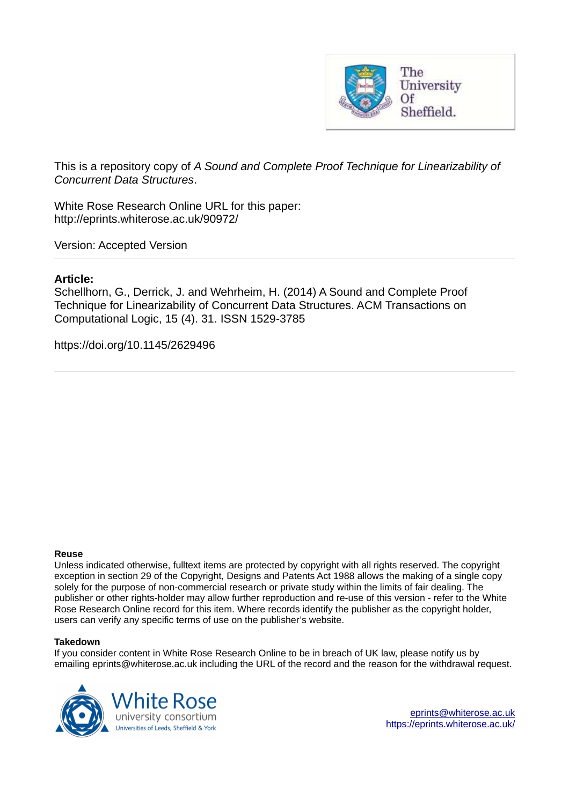

This is a repository copy of *A Sound and Complete Proof Technique for Linearizability of Concurrent Data Structures*.

White Rose Research Online URL for this paper: http://eprints.whiterose.ac.uk/90972/

Version: Accepted Version

# **Article:**

Schellhorn, G., Derrick, J. and Wehrheim, H. (2014) A Sound and Complete Proof Technique for Linearizability of Concurrent Data Structures. ACM Transactions on Computational Logic, 15 (4). 31. ISSN 1529-3785

https://doi.org/10.1145/2629496

# **Reuse**

Unless indicated otherwise, fulltext items are protected by copyright with all rights reserved. The copyright exception in section 29 of the Copyright, Designs and Patents Act 1988 allows the making of a single copy solely for the purpose of non-commercial research or private study within the limits of fair dealing. The publisher or other rights-holder may allow further reproduction and re-use of this version - refer to the White Rose Research Online record for this item. Where records identify the publisher as the copyright holder, users can verify any specific terms of use on the publisher's website.

# **Takedown**

If you consider content in White Rose Research Online to be in breach of UK law, please notify us by emailing eprints@whiterose.ac.uk including the URL of the record and the reason for the withdrawal request.

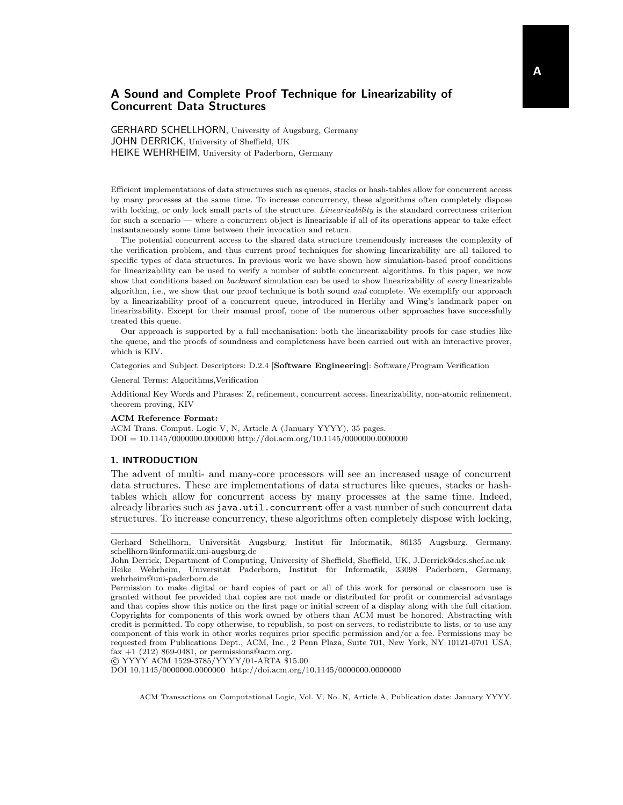# A Sound and Complete Proof Technique for Linearizability of Concurrent Data Structures

GERHARD SCHELLHORN, University of Augsburg, Germany JOHN DERRICK, University of Sheffield, UK HEIKE WEHRHEIM, University of Paderborn, Germany

Efficient implementations of data structures such as queues, stacks or hash-tables allow for concurrent access by many processes at the same time. To increase concurrency, these algorithms often completely dispose with locking, or only lock small parts of the structure. *Linearizability* is the standard correctness criterion for such a scenario — where a concurrent object is linearizable if all of its operations appear to take effect instantaneously some time between their invocation and return.

The potential concurrent access to the shared data structure tremendously increases the complexity of the verification problem, and thus current proof techniques for showing linearizability are all tailored to specific types of data structures. In previous work we have shown how simulation-based proof conditions for linearizability can be used to verify a number of subtle concurrent algorithms. In this paper, we now show that conditions based on *backward* simulation can be used to show linearizability of *every* linearizable algorithm, i.e., we show that our proof technique is both sound *and* complete. We exemplify our approach by a linearizability proof of a concurrent queue, introduced in Herlihy and Wing's landmark paper on linearizability. Except for their manual proof, none of the numerous other approaches have successfully treated this queue.

Our approach is supported by a full mechanisation: both the linearizability proofs for case studies like the queue, and the proofs of soundness and completeness have been carried out with an interactive prover, which is KIV.

Categories and Subject Descriptors: D.2.4 [Software Engineering]: Software/Program Verification

General Terms: Algorithms,Verification

Additional Key Words and Phrases: Z, refinement, concurrent access, linearizability, non-atomic refinement, theorem proving, KIV

#### ACM Reference Format:

ACM Trans. Comput. Logic V, N, Article A (January YYYY), 35 pages. DOI = 10.1145/0000000.0000000 http://doi.acm.org/10.1145/0000000.0000000

## 1. INTRODUCTION

The advent of multi- and many-core processors will see an increased usage of concurrent data structures. These are implementations of data structures like queues, stacks or hashtables which allow for concurrent access by many processes at the same time. Indeed, already libraries such as java.util.concurrent offer a vast number of such concurrent data structures. To increase concurrency, these algorithms often completely dispose with locking,

c YYYY ACM 1529-3785/YYYY/01-ARTA \$15.00

DOI 10.1145/0000000.0000000 http://doi.acm.org/10.1145/0000000.0000000

Gerhard Schellhorn, Universität Augsburg, Institut für Informatik, 86135 Augsburg, Germany, schellhorn@informatik.uni-augsburg.de

John Derrick, Department of Computing, University of Sheffield, Sheffield, UK, J.Derrick@dcs.shef.ac.uk Heike Wehrheim, Universität Paderborn, Institut für Informatik, 33098 Paderborn, Germany, wehrheim@uni-paderborn.de

Permission to make digital or hard copies of part or all of this work for personal or classroom use is granted without fee provided that copies are not made or distributed for profit or commercial advantage and that copies show this notice on the first page or initial screen of a display along with the full citation. Copyrights for components of this work owned by others than ACM must be honored. Abstracting with credit is permitted. To copy otherwise, to republish, to post on servers, to redistribute to lists, or to use any component of this work in other works requires prior specific permission and/or a fee. Permissions may be requested from Publications Dept., ACM, Inc., 2 Penn Plaza, Suite 701, New York, NY 10121-0701 USA, fax  $+1$  (212) 869-0481, or permissions@acm.org.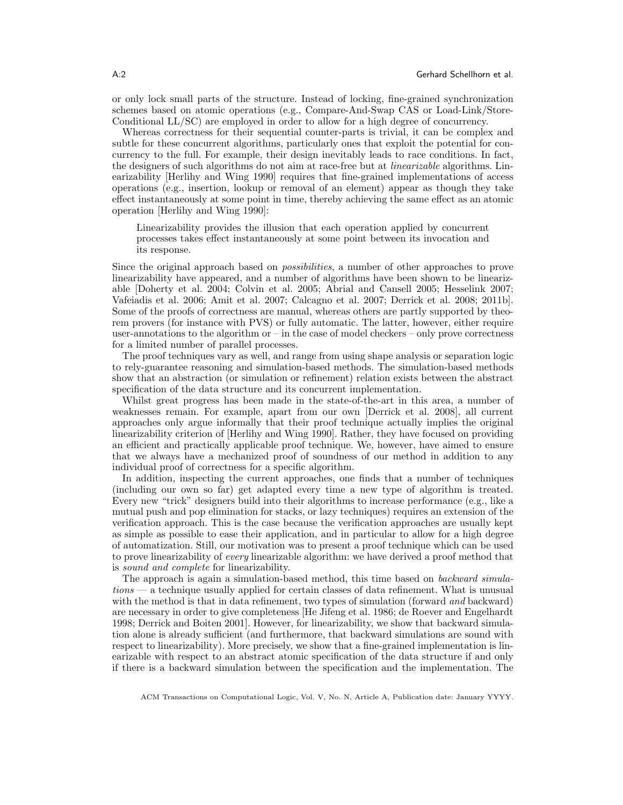or only lock small parts of the structure. Instead of locking, fine-grained synchronization schemes based on atomic operations (e.g., Compare-And-Swap CAS or Load-Link/Store-Conditional LL/SC) are employed in order to allow for a high degree of concurrency.

Whereas correctness for their sequential counter-parts is trivial, it can be complex and subtle for these concurrent algorithms, particularly ones that exploit the potential for concurrency to the full. For example, their design inevitably leads to race conditions. In fact, the designers of such algorithms do not aim at race-free but at *linearizable* algorithms. Linearizability [Herlihy and Wing 1990] requires that fine-grained implementations of access operations (e.g., insertion, lookup or removal of an element) appear as though they take effect instantaneously at some point in time, thereby achieving the same effect as an atomic operation [Herlihy and Wing 1990]:

Linearizability provides the illusion that each operation applied by concurrent processes takes effect instantaneously at some point between its invocation and its response.

Since the original approach based on possibilities, a number of other approaches to prove linearizability have appeared, and a number of algorithms have been shown to be linearizable [Doherty et al. 2004; Colvin et al. 2005; Abrial and Cansell 2005; Hesselink 2007; Vafeiadis et al. 2006; Amit et al. 2007; Calcagno et al. 2007; Derrick et al. 2008; 2011b]. Some of the proofs of correctness are manual, whereas others are partly supported by theorem provers (for instance with PVS) or fully automatic. The latter, however, either require user-annotations to the algorithm or – in the case of model checkers – only prove correctness for a limited number of parallel processes.

The proof techniques vary as well, and range from using shape analysis or separation logic to rely-guarantee reasoning and simulation-based methods. The simulation-based methods show that an abstraction (or simulation or refinement) relation exists between the abstract specification of the data structure and its concurrent implementation.

Whilst great progress has been made in the state-of-the-art in this area, a number of weaknesses remain. For example, apart from our own [Derrick et al. 2008], all current approaches only argue informally that their proof technique actually implies the original linearizability criterion of [Herlihy and Wing 1990]. Rather, they have focused on providing an efficient and practically applicable proof technique. We, however, have aimed to ensure that we always have a mechanized proof of soundness of our method in addition to any individual proof of correctness for a specific algorithm.

In addition, inspecting the current approaches, one finds that a number of techniques (including our own so far) get adapted every time a new type of algorithm is treated. Every new "trick" designers build into their algorithms to increase performance (e.g., like a mutual push and pop elimination for stacks, or lazy techniques) requires an extension of the verification approach. This is the case because the verification approaches are usually kept as simple as possible to ease their application, and in particular to allow for a high degree of automatization. Still, our motivation was to present a proof technique which can be used to prove linearizability of *every* linearizable algorithm: we have derived a proof method that is sound and complete for linearizability.

The approach is again a simulation-based method, this time based on backward simulations — a technique usually applied for certain classes of data refinement. What is unusual with the method is that in data refinement, two types of simulation (forward *and* backward) are necessary in order to give completeness [He Jifeng et al. 1986; de Roever and Engelhardt 1998; Derrick and Boiten 2001]. However, for linearizability, we show that backward simulation alone is already sufficient (and furthermore, that backward simulations are sound with respect to linearizability). More precisely, we show that a fine-grained implementation is linearizable with respect to an abstract atomic specification of the data structure if and only if there is a backward simulation between the specification and the implementation. The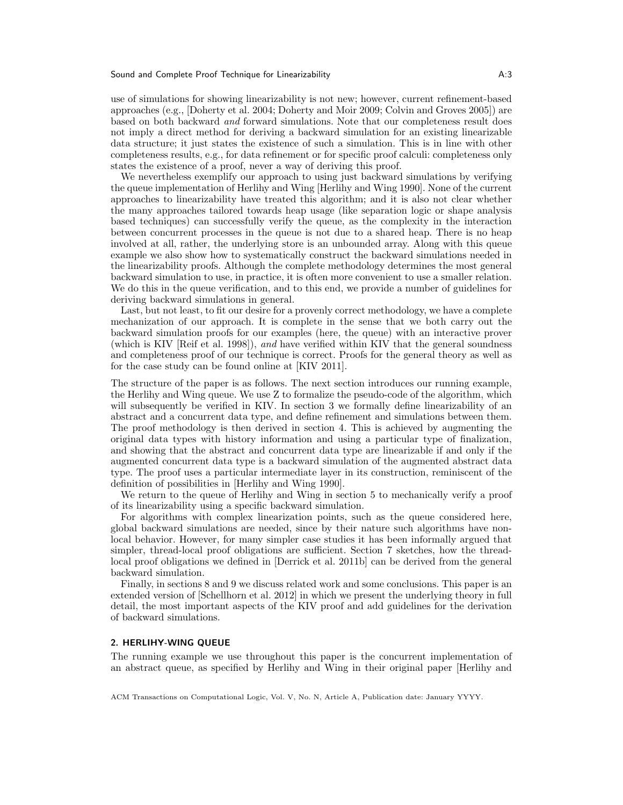use of simulations for showing linearizability is not new; however, current refinement-based approaches (e.g., [Doherty et al. 2004; Doherty and Moir 2009; Colvin and Groves 2005]) are based on both backward and forward simulations. Note that our completeness result does not imply a direct method for deriving a backward simulation for an existing linearizable data structure; it just states the existence of such a simulation. This is in line with other completeness results, e.g., for data refinement or for specific proof calculi: completeness only states the existence of a proof, never a way of deriving this proof.

We nevertheless exemplify our approach to using just backward simulations by verifying the queue implementation of Herlihy and Wing [Herlihy and Wing 1990]. None of the current approaches to linearizability have treated this algorithm; and it is also not clear whether the many approaches tailored towards heap usage (like separation logic or shape analysis based techniques) can successfully verify the queue, as the complexity in the interaction between concurrent processes in the queue is not due to a shared heap. There is no heap involved at all, rather, the underlying store is an unbounded array. Along with this queue example we also show how to systematically construct the backward simulations needed in the linearizability proofs. Although the complete methodology determines the most general backward simulation to use, in practice, it is often more convenient to use a smaller relation. We do this in the queue verification, and to this end, we provide a number of guidelines for deriving backward simulations in general.

Last, but not least, to fit our desire for a provenly correct methodology, we have a complete mechanization of our approach. It is complete in the sense that we both carry out the backward simulation proofs for our examples (here, the queue) with an interactive prover (which is KIV [Reif et al. 1998]), and have verified within KIV that the general soundness and completeness proof of our technique is correct. Proofs for the general theory as well as for the case study can be found online at [KIV 2011].

The structure of the paper is as follows. The next section introduces our running example, the Herlihy and Wing queue. We use Z to formalize the pseudo-code of the algorithm, which will subsequently be verified in KIV. In section 3 we formally define linearizability of an abstract and a concurrent data type, and define refinement and simulations between them. The proof methodology is then derived in section 4. This is achieved by augmenting the original data types with history information and using a particular type of finalization, and showing that the abstract and concurrent data type are linearizable if and only if the augmented concurrent data type is a backward simulation of the augmented abstract data type. The proof uses a particular intermediate layer in its construction, reminiscent of the definition of possibilities in [Herlihy and Wing 1990].

We return to the queue of Herlihy and Wing in section 5 to mechanically verify a proof of its linearizability using a specific backward simulation.

For algorithms with complex linearization points, such as the queue considered here, global backward simulations are needed, since by their nature such algorithms have nonlocal behavior. However, for many simpler case studies it has been informally argued that simpler, thread-local proof obligations are sufficient. Section 7 sketches, how the threadlocal proof obligations we defined in [Derrick et al. 2011b] can be derived from the general backward simulation.

Finally, in sections 8 and 9 we discuss related work and some conclusions. This paper is an extended version of [Schellhorn et al. 2012] in which we present the underlying theory in full detail, the most important aspects of the KIV proof and add guidelines for the derivation of backward simulations.

# 2. HERLIHY-WING QUEUE

The running example we use throughout this paper is the concurrent implementation of an abstract queue, as specified by Herlihy and Wing in their original paper [Herlihy and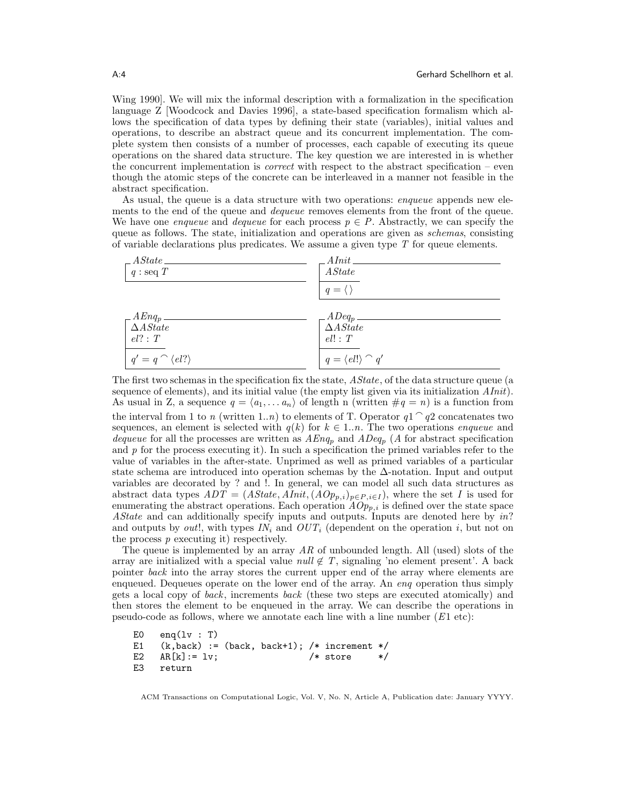Wing 1990]. We will mix the informal description with a formalization in the specification language  $\overline{Z}$  [Woodcock and Davies 1996], a state-based specification formalism which allows the specification of data types by defining their state (variables), initial values and operations, to describe an abstract queue and its concurrent implementation. The complete system then consists of a number of processes, each capable of executing its queue operations on the shared data structure. The key question we are interested in is whether the concurrent implementation is *correct* with respect to the abstract specification – even though the atomic steps of the concrete can be interleaved in a manner not feasible in the abstract specification.

As usual, the queue is a data structure with two operations: *enqueue* appends new elements to the end of the queue and *dequeue* removes elements from the front of the queue. We have one *enqueue* and *dequeue* for each process  $p \in P$ . Abstractly, we can specify the queue as follows. The state, initialization and operations are given as *schemas*, consisting of variable declarations plus predicates. We assume a given type  $T$  for queue elements.



The first two schemas in the specification fix the state, AState, of the data structure queue (a sequence of elements), and its initial value (the empty list given via its initialization  $AInit$ ). As usual in Z, a sequence  $q = \langle a_1, \ldots, a_n \rangle$  of length n (written  $\# q = n$ ) is a function from the interval from 1 to n (written 1..n) to elements of T. Operator  $q_1 \n_q_2$  concatenates two sequences, an element is selected with  $q(k)$  for  $k \in 1..n$ . The two operations *enqueue* and dequeue for all the processes are written as  $AEnq<sub>p</sub>$  and  $ADeq<sub>p</sub>$  (A for abstract specification and  $p$  for the process executing it). In such a specification the primed variables refer to the value of variables in the after-state. Unprimed as well as primed variables of a particular state schema are introduced into operation schemas by the ∆-notation. Input and output variables are decorated by ? and !. In general, we can model all such data structures as abstract data types  $ADT = (AState, Ahit, (AOp_{p,i})_{p \in P, i \in I})$ , where the set I is used for enumerating the abstract operations. Each operation  $AOp_{p,i}$  is defined over the state space Astate and can additionally specify inputs and outputs. Inputs are denoted here by in? and outputs by out!, with types  $IN_i$  and  $OUT_i$  (dependent on the operation i, but not on the process p executing it) respectively.

The queue is implemented by an array  $AR$  of unbounded length. All (used) slots of the array are initialized with a special value  $null \notin T$ , signaling 'no element present'. A back pointer back into the array stores the current upper end of the array where elements are enqueued. Dequeues operate on the lower end of the array. An eng operation thus simply gets a local copy of back, increments back (these two steps are executed atomically) and then stores the element to be enqueued in the array. We can describe the operations in pseudo-code as follows, where we annotate each line with a line number  $(E1 \text{ etc})$ :

```
E0 eng(lv : T)
E1 (k, \text{back}) := (\text{back}, \text{back}+1); /* increment */
E2 AR[k] := ly; /* store */
E3 return
```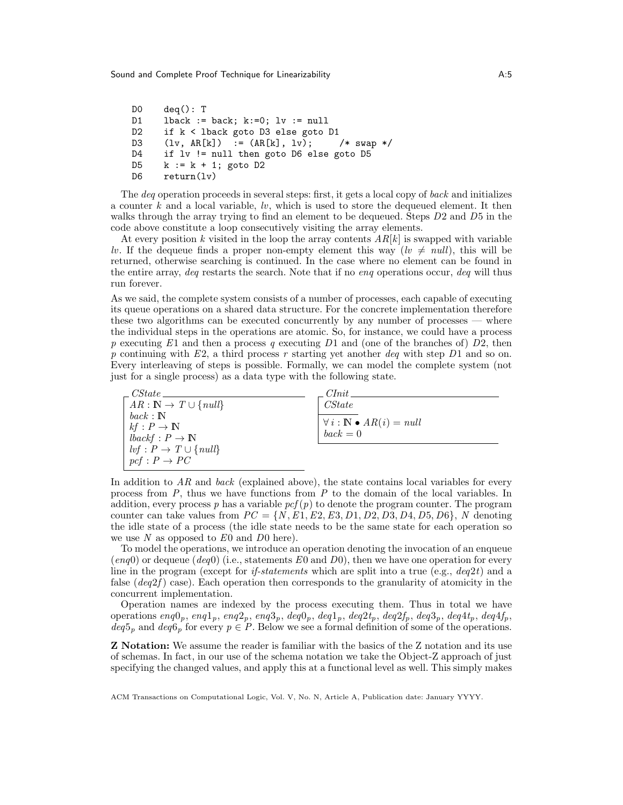| $deq()$ : T                                |
|--------------------------------------------|
| $1$ back := back; k:=0; $1v$ := null       |
| if $k <$ 1back goto D3 else goto D1        |
| $(lv, AR[k])$ := $(AR[k], ly);$ /* swap */ |
| if $lv$ != null then goto D6 else goto D5  |
| $k := k + 1$ ; goto D2                     |
| return (lv)                                |
|                                            |

The deq operation proceeds in several steps: first, it gets a local copy of back and initializes a counter  $k$  and a local variable,  $lv$ , which is used to store the dequeued element. It then walks through the array trying to find an element to be dequeued. Steps D2 and D5 in the code above constitute a loop consecutively visiting the array elements.

At every position k visited in the loop the array contents  $AR[k]$  is swapped with variable lv. If the dequeue finds a proper non-empty element this way ( $lv \neq null$ ), this will be returned, otherwise searching is continued. In the case where no element can be found in the entire array, deq restarts the search. Note that if no enq operations occur, deq will thus run forever.

As we said, the complete system consists of a number of processes, each capable of executing its queue operations on a shared data structure. For the concrete implementation therefore these two algorithms can be executed concurrently by any number of processes — where the individual steps in the operations are atomic. So, for instance, we could have a process p executing E1 and then a process q executing D1 and (one of the branches of) D2, then p continuing with E2, a third process r starting yet another deg with step D1 and so on. Every interleaving of steps is possible. Formally, we can model the complete system (not just for a single process) as a data type with the following state.



In addition to  $AR$  and back (explained above), the state contains local variables for every process from  $P$ , thus we have functions from  $P$  to the domain of the local variables. In addition, every process p has a variable  $\text{pcf}(p)$  to denote the program counter. The program counter can take values from  $PC = \{N, E1, E2, E3, D1, D2, D3, D4, D5, D6\}, N$  denoting the idle state of a process (the idle state needs to be the same state for each operation so we use  $N$  as opposed to  $E0$  and  $D0$  here).

To model the operations, we introduce an operation denoting the invocation of an enqueue  $(enq0)$  or dequeue  $(deq0)$  (i.e., statements E0 and D0), then we have one operation for every line in the program (except for *if-statements* which are split into a true (e.g.,  $deq2t$ ) and a false  $\text{(\textit{deg2f})}$  case). Each operation then corresponds to the granularity of atomicity in the concurrent implementation.

Operation names are indexed by the process executing them. Thus in total we have operations  $enq0_p$ ,  $enq1_p$ ,  $enq2_p$ ,  $enq3_p$ ,  $deq0_p$ ,  $deq1_p$ ,  $deq2t_p$ ,  $deq2f_p$ ,  $deq3_p$ ,  $deq4t_p$ ,  $deq4f_p$ ,  $\deg 5_p$  and  $\deg 6_p$  for every  $p \in P$ . Below we see a formal definition of some of the operations.

Z Notation: We assume the reader is familiar with the basics of the Z notation and its use of schemas. In fact, in our use of the schema notation we take the Object-Z approach of just specifying the changed values, and apply this at a functional level as well. This simply makes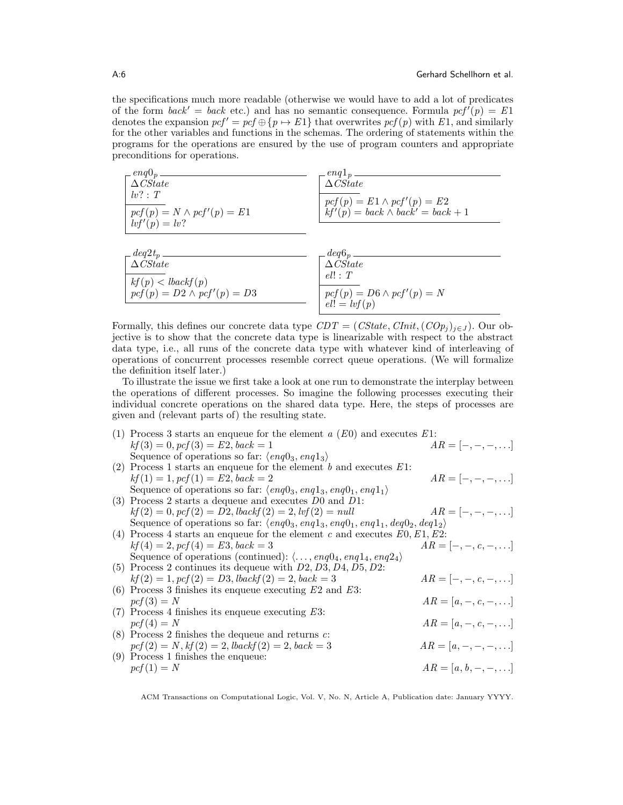the specifications much more readable (otherwise we would have to add a lot of predicates of the form  $back' = back$  etc.) and has no semantic consequence. Formula  $pcf'(p) = E1$ denotes the expansion  $pcf' = pcf \oplus \{p \mapsto E1\}$  that overwrites  $pcf(p)$  with E1, and similarly for the other variables and functions in the schemas. The ordering of statements within the programs for the operations are ensured by the use of program counters and appropriate preconditions for operations.

| $e^{nq0_p}$                            | $_{-}$ enq $_{1r}$                                                               |
|----------------------------------------|----------------------------------------------------------------------------------|
| $\Delta CState$                        | $\Delta \tilde{C}$ <i>State</i>                                                  |
| ln? : T<br>$pcf(p)=N\wedge pcf'(p)=E1$ | $pcf(p)=E1\wedge pcf'(p)=E2$<br>$k f'(\tilde{p}) = back \wedge back' = back + 1$ |
| $lvf'(p) = lv?$                        |                                                                                  |
| $\sim$                                 | $\mathbf{z}$ $\alpha$                                                            |

| $deq2t_n$                    | $deq6_n$                         |
|------------------------------|----------------------------------|
| $\triangle CState$           | $\triangle CState$               |
| $kf(p) < \text{lback} f(p)$  | ell: T                           |
| $pcf(p)=D2\wedge pcf'(p)=D3$ | $pcf(p) = D6 \wedge pcf'(p) = N$ |
|                              | $ell! = l v f(p)$                |
|                              |                                  |

Formally, this defines our concrete data type  $CDT = (CState, CInit, (COp<sub>j</sub>)_{j\in J})$ . Our objective is to show that the concrete data type is linearizable with respect to the abstract data type, i.e., all runs of the concrete data type with whatever kind of interleaving of operations of concurrent processes resemble correct queue operations. (We will formalize the definition itself later.)

To illustrate the issue we first take a look at one run to demonstrate the interplay between the operations of different processes. So imagine the following processes executing their individual concrete operations on the shared data type. Here, the steps of processes are given and (relevant parts of) the resulting state.

| (1) Process 3 starts an enqueue for the element $a(E0)$ and executes E1:                        |                         |
|-------------------------------------------------------------------------------------------------|-------------------------|
| $kf(3) = 0, pcf(3) = E2, back = 1$                                                              | $AR = [-,-,-,-,\ldots]$ |
| Sequence of operations so far: $\langle enq0_3, enq1_3 \rangle$                                 |                         |
| (2) Process 1 starts an enqueue for the element b and executes $E1$ :                           |                         |
| $kf(1) = 1, pcf(1) = E2, back = 2$                                                              | $AR = [-,-,-,-,\ldots]$ |
| Sequence of operations so far: $\langle enq0_3, enq1_3, enq0_1, enq1_1 \rangle$                 |                         |
| $(3)$ Process 2 starts a dequeue and executes D0 and D1:                                        |                         |
| $kf(2) = 0, pcf(2) = D2, \text{back }f(2) = 2, \text{lv }f(2) = \text{null}$                    | $AR = [-,-,-,-,\ldots]$ |
| Sequence of operations so far: $\langle enq0_3, enq1_3, enq0_1, enq1_1, deq0_2, deq1_2 \rangle$ |                         |
| (4) Process 4 starts an enqueue for the element c and executes $E0, E1, E2$ :                   |                         |
| $kf(4) = 2, pcf(4) = E3, back = 3$                                                              | $AR = [-, -, c, -, ]$   |
| Sequence of operations (continued): $\langle \ldots, enq0_4, enq1_4, enq2_4 \rangle$            |                         |
| (5) Process 2 continues its dequeue with $D2, D3, D4, D5, D2$ :                                 |                         |
| $kf(2) = 1, pcf(2) = D3, \text{back }f(2) = 2, \text{back } = 3$                                | $AR = [-, -, c, -, ]$   |
| (6) Process 3 finishes its enqueue executing $E2$ and $E3$ :                                    |                         |
| $pcf(3)=N$                                                                                      | $AR = [a, -, c, -, ]$   |
| $(7)$ Process 4 finishes its enqueue executing E3:                                              |                         |
| $pcf(4)=N$                                                                                      | $AR = [a, -, c, -, ]$   |
| $(8)$ Process 2 finishes the dequeue and returns c:                                             |                         |
| $pcf (2) = N, kf (2) = 2, backf (2) = 2, back = 3$                                              | $AR = [a, -, -, -, ]$   |
| $(9)$ Process 1 finishes the enqueue:                                                           |                         |
| $pcf(1)=N$                                                                                      | $AR = [a, b, -, -, ]$   |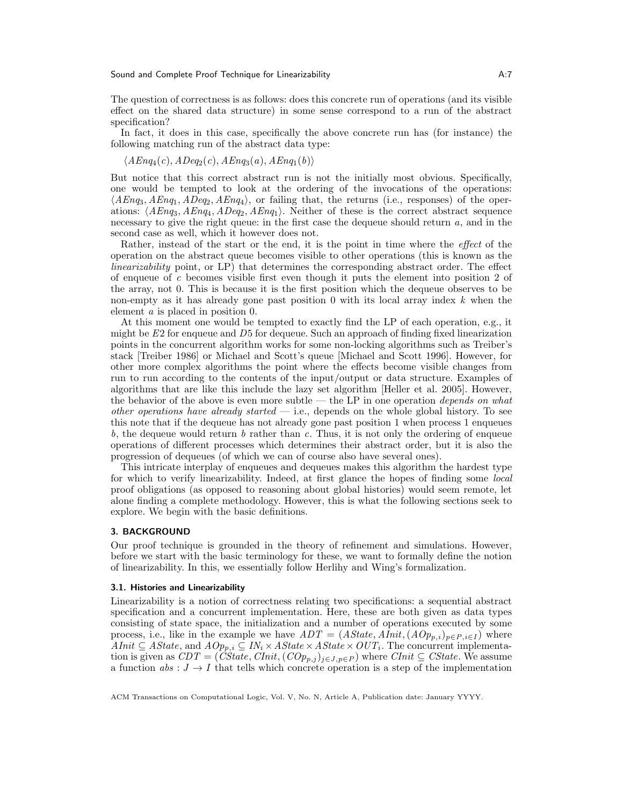The question of correctness is as follows: does this concrete run of operations (and its visible effect on the shared data structure) in some sense correspond to a run of the abstract specification?

In fact, it does in this case, specifically the above concrete run has (for instance) the following matching run of the abstract data type:

$$
\langle AEnq_4(c), ADeq_2(c), AEnq_3(a), AEnq_1(b) \rangle
$$

But notice that this correct abstract run is not the initially most obvious. Specifically, one would be tempted to look at the ordering of the invocations of the operations:  $\langle AEng_3, AEng_1, ADeg_2, AEng_4 \rangle$ , or failing that, the returns (i.e., responses) of the operations:  $\langle AEnq_3, AEnq_4, ADeq_2, AEnq_1 \rangle$ . Neither of these is the correct abstract sequence necessary to give the right queue: in the first case the dequeue should return  $a$ , and in the second case as well, which it however does not.

Rather, instead of the start or the end, it is the point in time where the effect of the operation on the abstract queue becomes visible to other operations (this is known as the linearizability point, or LP) that determines the corresponding abstract order. The effect of enqueue of c becomes visible first even though it puts the element into position 2 of the array, not 0. This is because it is the first position which the dequeue observes to be non-empty as it has already gone past position  $0$  with its local array index k when the element a is placed in position 0.

At this moment one would be tempted to exactly find the LP of each operation, e.g., it might be E2 for enqueue and D5 for dequeue. Such an approach of finding fixed linearization points in the concurrent algorithm works for some non-locking algorithms such as Treiber's stack [Treiber 1986] or Michael and Scott's queue [Michael and Scott 1996]. However, for other more complex algorithms the point where the effects become visible changes from run to run according to the contents of the input/output or data structure. Examples of algorithms that are like this include the lazy set algorithm [Heller et al. 2005]. However, the behavior of the above is even more subtle — the LP in one operation *depends on what* other operations have already started  $-$  i.e., depends on the whole global history. To see this note that if the dequeue has not already gone past position 1 when process 1 enqueues b, the dequeue would return b rather than c. Thus, it is not only the ordering of enqueue operations of different processes which determines their abstract order, but it is also the progression of dequeues (of which we can of course also have several ones).

This intricate interplay of enqueues and dequeues makes this algorithm the hardest type for which to verify linearizability. Indeed, at first glance the hopes of finding some local proof obligations (as opposed to reasoning about global histories) would seem remote, let alone finding a complete methodology. However, this is what the following sections seek to explore. We begin with the basic definitions.

# 3. BACKGROUND

Our proof technique is grounded in the theory of refinement and simulations. However, before we start with the basic terminology for these, we want to formally define the notion of linearizability. In this, we essentially follow Herlihy and Wing's formalization.

## 3.1. Histories and Linearizability

Linearizability is a notion of correctness relating two specifications: a sequential abstract specification and a concurrent implementation. Here, these are both given as data types consisting of state space, the initialization and a number of operations executed by some process, i.e., like in the example we have  $ADT = (AState, AInit, (AOp_{p,i})_{p \in P, i \in I})$  where  $AInit \subseteq Astate$ , and  $AOp_{p,i} \subseteq IN_i \times Astate \times Astate \times OUT_i$ . The concurrent implementation is given as  $CDT = (CState, CInit, (COp_{p,j})_{j\in J, p\in P})$  where  $CInit \subseteq CState$ . We assume a function  $abs: J \to I$  that tells which concrete operation is a step of the implementation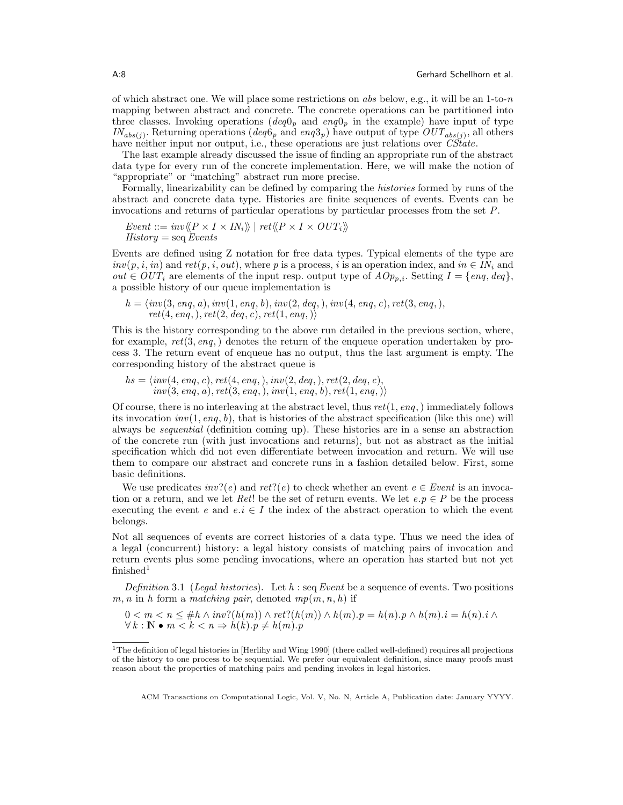of which abstract one. We will place some restrictions on abs below, e.g., it will be an  $1$ -to-n mapping between abstract and concrete. The concrete operations can be partitioned into three classes. Invoking operations  $\left(\text{deg}0_p \text{ and } \text{eng}0_p\right)$  in the example) have input of type  $IN_{abs(j)}$ . Returning operations ( $deq6_p$  and  $enq3_p$ ) have output of type  $OUT_{abs(j)}$ , all others have neither input nor output, i.e., these operations are just relations over *CState*.

The last example already discussed the issue of finding an appropriate run of the abstract data type for every run of the concrete implementation. Here, we will make the notion of "appropriate" or "matching" abstract run more precise.

Formally, linearizability can be defined by comparing the histories formed by runs of the abstract and concrete data type. Histories are finite sequences of events. Events can be invocations and returns of particular operations by particular processes from the set P.

Event ::=  $inv \langle P \times I \times IN_i \rangle$  | ret $\langle P \times I \times OUT_i \rangle$  $History = seq Events$ 

Events are defined using Z notation for free data types. Typical elements of the type are  $inv(p, i, in)$  and  $ret(p, i, out)$ , where p is a process, i is an operation index, and  $in \in IN_i$  and *out* ∈  $OUT_i$  are elements of the input resp. output type of  $AOp_{p,i}$ . Setting  $I = \{eq, deg\}$ , a possible history of our queue implementation is

 $h = \langle inv(3, eng, a), inv(1, eng, b), inv(2, deg, ), inv(4, eng, c), ret(3, eng, ),$  $rret(4, enq, ), ret(2, deq, c), ret(1, enq, i)$ 

This is the history corresponding to the above run detailed in the previous section, where, for example,  $ret(3, eng, )$  denotes the return of the enqueue operation undertaken by process 3. The return event of enqueue has no output, thus the last argument is empty. The corresponding history of the abstract queue is

 $hs = \langle inv(4, enq, c), ret(4, enq, 0), inv(2, deg, 0, ret(2, deg, c),$  $inv(3, enq, a), ret(3, enq, ), inv(1, enq, b), ret(1, enq, ))$ 

Of course, there is no interleaving at the abstract level, thus  $ret(1, enq)$  immediately follows its invocation  $inv(1, eng, b)$ , that is histories of the abstract specification (like this one) will always be sequential (definition coming up). These histories are in a sense an abstraction of the concrete run (with just invocations and returns), but not as abstract as the initial specification which did not even differentiate between invocation and return. We will use them to compare our abstract and concrete runs in a fashion detailed below. First, some basic definitions.

We use predicates  $inv'(e)$  and  $ret'(e)$  to check whether an event  $e \in Event$  is an invocation or a return, and we let Ret! be the set of return events. We let  $e, p \in P$  be the process executing the event e and  $e.i \in I$  the index of the abstract operation to which the event belongs.

Not all sequences of events are correct histories of a data type. Thus we need the idea of a legal (concurrent) history: a legal history consists of matching pairs of invocation and return events plus some pending invocations, where an operation has started but not yet finished<sup>1</sup>

Definition 3.1 (Legal histories). Let h: seq Event be a sequence of events. Two positions  $m, n$  in h form a matching pair, denoted  $mp(m, n, h)$  if

 $0 < m < n \leq \#h \wedge inv!(h(m)) \wedge ret!(h(m)) \wedge h(m).p = h(n).p \wedge h(m).i = h(n).i \wedge$  $\forall k : \mathbb{N} \bullet m < k < n \Rightarrow h(k) \cdot p \neq h(m) \cdot p$ 

 $1$ The definition of legal histories in [Herlihy and Wing 1990] (there called well-defined) requires all projections of the history to one process to be sequential. We prefer our equivalent definition, since many proofs must reason about the properties of matching pairs and pending invokes in legal histories.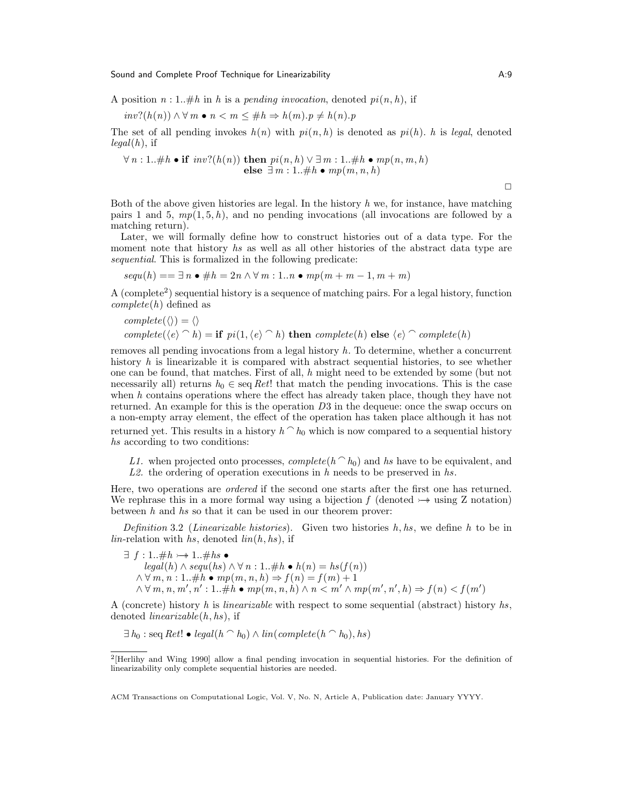A position  $n: 1..\#h$  in h is a pending invocation, denoted  $pi(n, h)$ , if

$$
inv? (h(n)) \wedge \forall m \bullet n < m \leq \# h \Rightarrow h(m).p \neq h(n).p
$$

The set of all pending invokes  $h(n)$  with  $pi(n, h)$  is denoted as  $pi(h)$ . h is legal, denoted  $legal(h),$  if

$$
\forall n: 1.. \#h \bullet \text{if} \ inv? (h(n)) \text{ then } pi(n, h) \lor \exists m: 1.. \#h \bullet mp(n, m, h)
$$
  
else 
$$
\exists m: 1.. \#h \bullet mp(m, n, h)
$$

 $\Box$ 

Both of the above given histories are legal. In the history  $h$  we, for instance, have matching pairs 1 and 5,  $mp(1, 5, h)$ , and no pending invocations (all invocations are followed by a matching return).

Later, we will formally define how to construct histories out of a data type. For the moment note that history hs as well as all other histories of the abstract data type are sequential. This is formalized in the following predicate:

$$
sequ(h) == \exists n \bullet \#h = 2n \land \forall m: 1...n \bullet mp(m + m - 1, m + m)
$$

A (complete<sup>2</sup>) sequential history is a sequence of matching pairs. For a legal history, function  $complete(h)$  defined as

complete(
$$
\langle \rangle
$$
) =  $\langle \rangle$   
complete( $\langle e \rangle \cap h$ ) = **if** pi(1,  $\langle e \rangle \cap h$ ) **then** complete(h) **else**  $\langle e \rangle \cap complete(h)$ 

removes all pending invocations from a legal history  $h$ . To determine, whether a concurrent history h is linearizable it is compared with abstract sequential histories, to see whether one can be found, that matches. First of all, h might need to be extended by some (but not necessarily all) returns  $h_0 \in \text{seq} \text{}$ . It that match the pending invocations. This is the case when h contains operations where the effect has already taken place, though they have not returned. An example for this is the operation D3 in the dequeue: once the swap occurs on a non-empty array element, the effect of the operation has taken place although it has not returned yet. This results in a history  $h \cap h_0$  which is now compared to a sequential history hs according to two conditions:

L1. when projected onto processes,  $complete(h \cap h_0)$  and hs have to be equivalent, and  $L2.$  the ordering of operation executions in h needs to be preserved in hs.

Here, two operations are ordered if the second one starts after the first one has returned. We rephrase this in a more formal way using a bijection f (denoted  $\rightarrow$  using Z notation) between  $h$  and  $hs$  so that it can be used in our theorem prover:

Definition 3.2 (Linearizable histories). Given two histories h, hs, we define h to be in  $lin$ -relation with hs, denoted  $lin(h, hs)$ , if

 $\exists f : 1..\#h \rightarrow 1..\#hs \bullet$  $legal(h) \wedge sequ(hs) \wedge \forall n: 1..\#h \bullet h(n) = hs(f(n))$  $\wedge \forall m, n : 1..\#h \bullet mp(m, n, h) \Rightarrow f(n) = f(m) + 1$  $\land \forall m, n, m', n' : 1..\#h \bullet mp(m, n, h) \land n < m' \land mp(m', n', h) \Rightarrow f(n) < f(m')$ 

A (concrete) history h is *linearizable* with respect to some sequential (abstract) history hs, denoted *linearizable* $(h, hs)$ , if

 $\exists h_0 : \text{seq } Ret! \bullet \text{ legal}(h \cap h_0) \wedge \text{lin}(complete(h \cap h_0), hs)$ 

<sup>&</sup>lt;sup>2</sup> [Herlihy and Wing 1990] allow a final pending invocation in sequential histories. For the definition of linearizability only complete sequential histories are needed.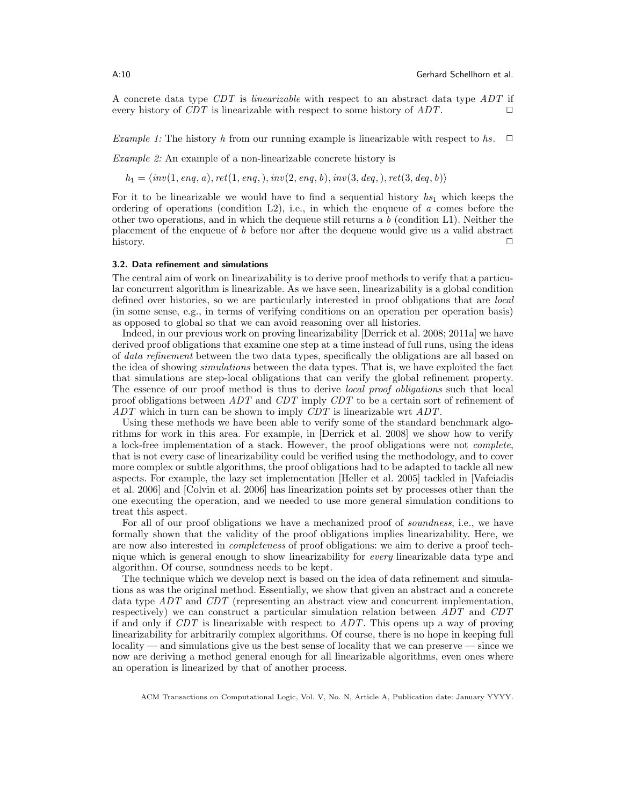A concrete data type CDT is linearizable with respect to an abstract data type ADT if every history of CDT is linearizable with respect to some history of  $ADT$ .

Example 1: The history h from our running example is linearizable with respect to hs.  $\Box$ 

Example 2: An example of a non-linearizable concrete history is

 $h_1 = \langle inv(1, enq, a), ret(1, enq,), inv(2, enq, b), inv(3, deq,), ret(3, deq, b) \rangle$ 

For it to be linearizable we would have to find a sequential history  $hs_1$  which keeps the ordering of operations (condition L2), i.e., in which the enqueue of  $a$  comes before the other two operations, and in which the dequeue still returns a  $b$  (condition L1). Neither the placement of the enqueue of b before nor after the dequeue would give us a valid abstract history. ✷

## 3.2. Data refinement and simulations

The central aim of work on linearizability is to derive proof methods to verify that a particular concurrent algorithm is linearizable. As we have seen, linearizability is a global condition defined over histories, so we are particularly interested in proof obligations that are local (in some sense, e.g., in terms of verifying conditions on an operation per operation basis) as opposed to global so that we can avoid reasoning over all histories.

Indeed, in our previous work on proving linearizability [Derrick et al. 2008; 2011a] we have derived proof obligations that examine one step at a time instead of full runs, using the ideas of data refinement between the two data types, specifically the obligations are all based on the idea of showing simulations between the data types. That is, we have exploited the fact that simulations are step-local obligations that can verify the global refinement property. The essence of our proof method is thus to derive *local proof obligations* such that local proof obligations between ADT and CDT imply CDT to be a certain sort of refinement of ADT which in turn can be shown to imply CDT is linearizable wrt ADT.

Using these methods we have been able to verify some of the standard benchmark algorithms for work in this area. For example, in [Derrick et al. 2008] we show how to verify a lock-free implementation of a stack. However, the proof obligations were not complete, that is not every case of linearizability could be verified using the methodology, and to cover more complex or subtle algorithms, the proof obligations had to be adapted to tackle all new aspects. For example, the lazy set implementation [Heller et al. 2005] tackled in [Vafeiadis et al. 2006] and [Colvin et al. 2006] has linearization points set by processes other than the one executing the operation, and we needed to use more general simulation conditions to treat this aspect.

For all of our proof obligations we have a mechanized proof of *soundness*, i.e., we have formally shown that the validity of the proof obligations implies linearizability. Here, we are now also interested in completeness of proof obligations: we aim to derive a proof technique which is general enough to show linearizability for every linearizable data type and algorithm. Of course, soundness needs to be kept.

The technique which we develop next is based on the idea of data refinement and simulations as was the original method. Essentially, we show that given an abstract and a concrete data type ADT and CDT (representing an abstract view and concurrent implementation, respectively) we can construct a particular simulation relation between ADT and CDT if and only if  $CDT$  is linearizable with respect to  $ADT$ . This opens up a way of proving linearizability for arbitrarily complex algorithms. Of course, there is no hope in keeping full locality — and simulations give us the best sense of locality that we can preserve — since we now are deriving a method general enough for all linearizable algorithms, even ones where an operation is linearized by that of another process.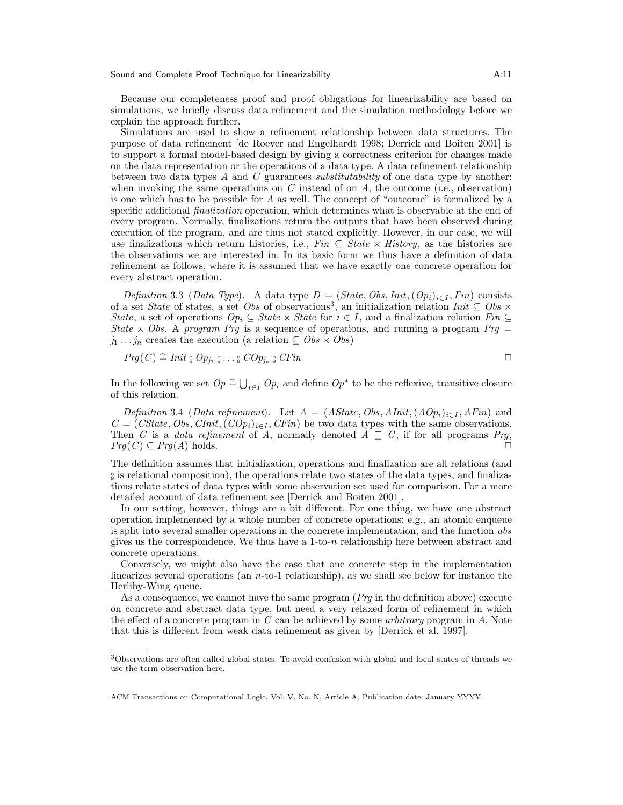Because our completeness proof and proof obligations for linearizability are based on simulations, we briefly discuss data refinement and the simulation methodology before we explain the approach further.

Simulations are used to show a refinement relationship between data structures. The purpose of data refinement [de Roever and Engelhardt 1998; Derrick and Boiten 2001] is to support a formal model-based design by giving a correctness criterion for changes made on the data representation or the operations of a data type. A data refinement relationship between two data types  $A$  and  $C$  guarantees *substitutability* of one data type by another: when invoking the same operations on  $C$  instead of on  $A$ , the outcome (i.e., observation) is one which has to be possible for A as well. The concept of "outcome" is formalized by a specific additional *finalization* operation, which determines what is observable at the end of every program. Normally, finalizations return the outputs that have been observed during execution of the program, and are thus not stated explicitly. However, in our case, we will use finalizations which return histories, i.e.,  $Fin \subseteq State \times History$ , as the histories are the observations we are interested in. In its basic form we thus have a definition of data refinement as follows, where it is assumed that we have exactly one concrete operation for every abstract operation.

Definition 3.3 (Data Type). A data type  $D = (State, Obs,Init, (Op<sub>i</sub>)<sub>i \in I</sub>, Fin)$  consists of a set State of states, a set Obs of observations<sup>3</sup>, an initialization relation Init  $\subseteq$  Obs  $\times$ State, a set of operations  $Op_i \subseteq State \times State$  for  $i \in I$ , and a finalization relation  $Fin \subseteq$ State  $\times$  Obs. A program Prg is a sequence of operations, and running a program Prg =  $j_1 \tldots j_n$  creates the execution (a relation  $\subseteq Obs \times Obs)$ 

$$
Prg(C) \cong Init\, \S\, Op_{j_1} \S \dots \S\, Cop_{j_n} \S\, CFin
$$

In the following we set  $Op \cong \bigcup_{i \in I} Op_i$  and define  $Op^*$  to be the reflexive, transitive closure of this relation.

Definition 3.4 (Data refinement). Let  $A = (AState, Obs, Ahit, (AOp<sub>i</sub>)<sub>i∈I</sub>, AFin)$  and  $C = (CState, Obs, Chnit, (COp<sub>i</sub>)<sub>i \in I</sub>, CFin)$  be two data types with the same observations. Then C is a *data refinement* of A, normally denoted  $A \subseteq C$ , if for all programs Prg,  $Prg(C) \subseteq Prg(A)$  holds.

The definition assumes that initialization, operations and finalization are all relations (and  $\frac{1}{9}$  is relational composition), the operations relate two states of the data types, and finalizations relate states of data types with some observation set used for comparison. For a more detailed account of data refinement see [Derrick and Boiten 2001].

In our setting, however, things are a bit different. For one thing, we have one abstract operation implemented by a whole number of concrete operations: e.g., an atomic enqueue is split into several smaller operations in the concrete implementation, and the function abs gives us the correspondence. We thus have a  $1-to-n$  relationship here between abstract and concrete operations.

Conversely, we might also have the case that one concrete step in the implementation linearizes several operations (an  $n$ -to-1 relationship), as we shall see below for instance the Herlihy-Wing queue.

As a consequence, we cannot have the same program  $(Prg$  in the definition above) execute on concrete and abstract data type, but need a very relaxed form of refinement in which the effect of a concrete program in  $C$  can be achieved by some *arbitrary* program in  $A$ . Note that this is different from weak data refinement as given by [Derrick et al. 1997].

<sup>3</sup>Observations are often called global states. To avoid confusion with global and local states of threads we use the term observation here.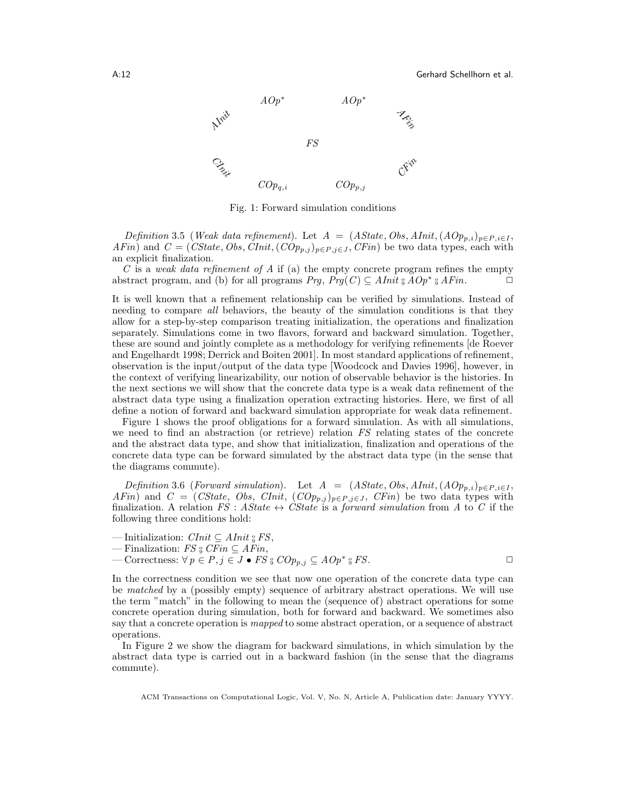

Fig. 1: Forward simulation conditions

Definition 3.5 (Weak data refinement). Let  $A = (AState, Obs, Ahnit, (AOp_{p,i})_{p \in P, i \in I},$ *AFin*) and  $C = (CState, Obs, CInit, (COp_{p,j})_{p \in P, j \in J}, CFin)$  be two data types, each with an explicit finalization.

C is a weak data refinement of A if (a) the empty concrete program refines the empty abstract program, and (b) for all programs  $Prg$ ,  $Prg(C) \subseteq Ahnt$   $^{\circ}_{\circ} AOp^*$   $^{\circ}_{\circ} AFin$ .

It is well known that a refinement relationship can be verified by simulations. Instead of needing to compare all behaviors, the beauty of the simulation conditions is that they allow for a step-by-step comparison treating initialization, the operations and finalization separately. Simulations come in two flavors, forward and backward simulation. Together, these are sound and jointly complete as a methodology for verifying refinements [de Roever and Engelhardt 1998; Derrick and Boiten 2001]. In most standard applications of refinement, observation is the input/output of the data type [Woodcock and Davies 1996], however, in the context of verifying linearizability, our notion of observable behavior is the histories. In the next sections we will show that the concrete data type is a weak data refinement of the abstract data type using a finalization operation extracting histories. Here, we first of all define a notion of forward and backward simulation appropriate for weak data refinement.

Figure 1 shows the proof obligations for a forward simulation. As with all simulations, we need to find an abstraction (or retrieve) relation FS relating states of the concrete and the abstract data type, and show that initialization, finalization and operations of the concrete data type can be forward simulated by the abstract data type (in the sense that the diagrams commute).

Definition 3.6 (Forward simulation). Let  $A = (AState, Obs, Ahnit, (AOp_{p,i})_{p \in P, i \in I},$ AFin) and  $C = (CState, Obs, Chait, (COp_{p,j})_{p \in P, j \in J}, CFin)$  be two data types with finalization. A relation  $FS : Astate \leftrightarrow CState$  is a forward simulation from A to C if the following three conditions hold:

- Initialization:  $CInit \subseteq AInit \, \S FS,$
- $\text{--}$  Finalization:  $FS \, \frac{\circ}{9} \, CFin \subseteq AFin$ ,

— Correctness:  $\forall p \in P, j \in J \bullet FS$  <sup>9</sup> COp<sub>p,j</sub> ⊆ AOp<sup>\*</sup> <sup>9</sup> FS.

In the correctness condition we see that now one operation of the concrete data type can be matched by a (possibly empty) sequence of arbitrary abstract operations. We will use the term "match" in the following to mean the (sequence of) abstract operations for some concrete operation during simulation, both for forward and backward. We sometimes also say that a concrete operation is *mapped* to some abstract operation, or a sequence of abstract operations.

In Figure 2 we show the diagram for backward simulations, in which simulation by the abstract data type is carried out in a backward fashion (in the sense that the diagrams commute).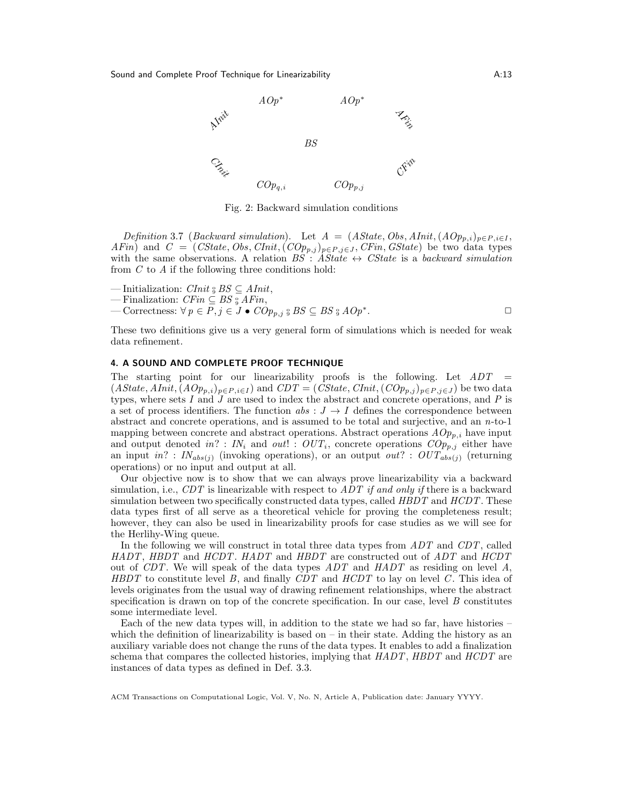

Fig. 2: Backward simulation conditions

Definition 3.7 (Backward simulation). Let  $A = (AState, Obs, Ahit, (AOp<sub>p,i</sub>)_{p \in P, i \in I},$  $AFin)$  and  $C = (CState, Obs, Chit, (COp_{p,j})_{p \in P, j \in J}, CFin, GState)$  be two data types with the same observations. A relation  $BS : Astate \leftrightarrow CState$  is a backward simulation from  $C$  to  $A$  if the following three conditions hold:

— Initialization: *CInit*  ${}_{9}^{o} BS \subseteq Ahit$ ,

— Finalization:  $CFin \subseteq BS_{9}$  A Fin,

$$
-\text{Correctness: }\forall\ p\in\overline{P}, j\in J\bullet\text{ }C\text{O}p_{p,j}\text{ }^{\circ}_{3}BS\subseteq BS\text{ }^{\circ}_{3}AOp^*.
$$

These two definitions give us a very general form of simulations which is needed for weak data refinement.

# 4. A SOUND AND COMPLETE PROOF TECHNIQUE

The starting point for our linearizability proofs is the following. Let  $ADT =$  $(AState, Ahit, (AOp_{p,i})_{p\in P,i\in I})$  and  $CDT = (CState, Chit, (COp_{p,j})_{p\in P,j\in J})$  be two data types, where sets I and J are used to index the abstract and concrete operations, and  $P$  is a set of process identifiers. The function  $abs: J \rightarrow I$  defines the correspondence between abstract and concrete operations, and is assumed to be total and surjective, and an n-to-1 mapping between concrete and abstract operations. Abstract operations  $AOp_{p,i}$  have input and output denoted in? :  $IN_i$  and  $out!$  :  $OUT_i$ , concrete operations  $COp_{p,j}$  either have an input in? :  $IN_{abs(j)}$  (invoking operations), or an output out? :  $OUT_{abs(j)}$  (returning operations) or no input and output at all.

Our objective now is to show that we can always prove linearizability via a backward simulation, i.e., CDT is linearizable with respect to ADT if and only if there is a backward simulation between two specifically constructed data types, called *HBDT* and *HCDT*. These data types first of all serve as a theoretical vehicle for proving the completeness result; however, they can also be used in linearizability proofs for case studies as we will see for the Herlihy-Wing queue.

In the following we will construct in total three data types from ADT and CDT, called HADT, HBDT and HCDT. HADT and HBDT are constructed out of ADT and HCDT out of CDT. We will speak of the data types  $ADT$  and  $HADT$  as residing on level A, HBDT to constitute level  $B$ , and finally CDT and HCDT to lay on level C. This idea of levels originates from the usual way of drawing refinement relationships, where the abstract specification is drawn on top of the concrete specification. In our case, level  $B$  constitutes some intermediate level.

Each of the new data types will, in addition to the state we had so far, have histories – which the definition of linearizability is based on  $-$  in their state. Adding the history as an auxiliary variable does not change the runs of the data types. It enables to add a finalization schema that compares the collected histories, implying that HADT, HBDT and HCDT are instances of data types as defined in Def. 3.3.

ACM Transactions on Computational Logic, Vol. V, No. N, Article A, Publication date: January YYYY.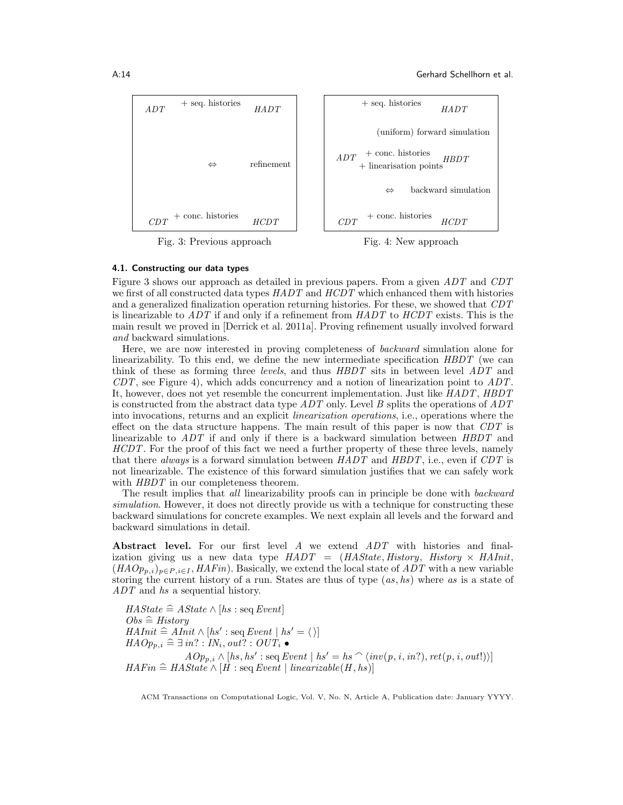

Fig. 3: Previous approach

Fig. 4: New approach

# 4.1. Constructing our data types

Figure 3 shows our approach as detailed in previous papers. From a given ADT and CDT we first of all constructed data types  $HADT$  and  $HCDT$  which enhanced them with histories and a generalized finalization operation returning histories. For these, we showed that CDT is linearizable to  $ADT$  if and only if a refinement from  $HADT$  to  $HCDT$  exists. This is the main result we proved in [Derrick et al. 2011a]. Proving refinement usually involved forward and backward simulations.

Here, we are now interested in proving completeness of backward simulation alone for linearizability. To this end, we define the new intermediate specification HBDT (we can think of these as forming three levels, and thus HBDT sits in between level ADT and  $CDT$ , see Figure 4), which adds concurrency and a notion of linearization point to  $ADT$ . It, however, does not yet resemble the concurrent implementation. Just like HADT, HBDT is constructed from the abstract data type  $ADT$  only. Level B splits the operations of  $ADT$ into invocations, returns and an explicit linearization operations, i.e., operations where the effect on the data structure happens. The main result of this paper is now that  $CDT$  is linearizable to  $ADT$  if and only if there is a backward simulation between  $HBDT$  and HCDT. For the proof of this fact we need a further property of these three levels, namely that there *always* is a forward simulation between  $HADT$  and  $HBDT$ , i.e., even if  $CDT$  is not linearizable. The existence of this forward simulation justifies that we can safely work with *HBDT* in our completeness theorem.

The result implies that all linearizability proofs can in principle be done with backward simulation. However, it does not directly provide us with a technique for constructing these backward simulations for concrete examples. We next explain all levels and the forward and backward simulations in detail.

Abstract level. For our first level A we extend ADT with histories and finalization giving us a new data type  $HADT = (HAState, History, History \times HAlnit,$  $(HAOp_{p,i})_{p\in P,i\in I}$ , HAFin). Basically, we extend the local state of ADT with a new variable storing the current history of a run. States are thus of type  $(as, hs)$  where as is a state of  $ADT$  and hs a sequential history.

 $HAState \cong AState \wedge [hs : seqEvent]$  $Obs \hat{=} Historu$  $HAInit \cong AInit \wedge [hs' : seqEvent \mid hs' = \langle \rangle]$  $H A O p_{p,i} \widehat{=} \exists in? : IN_i, out? : OUT_i \bullet$  $AOp_{p,i} \wedge [hs, hs' : seqEvent \mid hs' = hs \wedge \langle inv(p, i, in?), ret(p, i, out!) \rangle]$  $HAFin \cong HAState \wedge [H : seqEvent \mid linearizable(H , hs)]$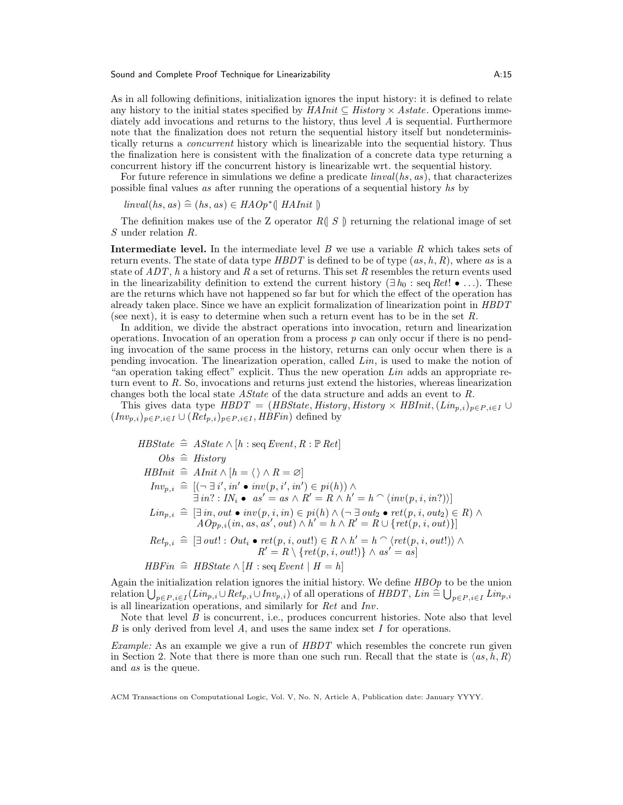As in all following definitions, initialization ignores the input history: it is defined to relate any history to the initial states specified by  $H A Init \subset History \times Astate$ . Operations immediately add invocations and returns to the history, thus level A is sequential. Furthermore note that the finalization does not return the sequential history itself but nondeterministically returns a concurrent history which is linearizable into the sequential history. Thus the finalization here is consistent with the finalization of a concrete data type returning a concurrent history iff the concurrent history is linearizable wrt. the sequential history.

For future reference in simulations we define a predicate  $linval(hs, as)$ , that characterizes possible final values as after running the operations of a sequential history hs by

$$
linval(hs, as) \stackrel{\sim}{=} (hs, as) \in HAOp^* \{(HAnit \mid)
$$

The definition makes use of the Z operator  $R(S)$  returning the relational image of set S under relation R.

**Intermediate level.** In the intermediate level  $B$  we use a variable  $R$  which takes sets of return events. The state of data type  $HBDT$  is defined to be of type  $(as, h, R)$ , where as is a state of  $ADT$ , h a history and R a set of returns. This set R resembles the return events used in the linearizability definition to extend the current history  $(\exists h_0 : \text{seq } Ret! \bullet \dots)$ . These are the returns which have not happened so far but for which the effect of the operation has already taken place. Since we have an explicit formalization of linearization point in HBDT (see next), it is easy to determine when such a return event has to be in the set  $R$ .

In addition, we divide the abstract operations into invocation, return and linearization operations. Invocation of an operation from a process  $p$  can only occur if there is no pending invocation of the same process in the history, returns can only occur when there is a pending invocation. The linearization operation, called Lin, is used to make the notion of "an operation taking effect" explicit. Thus the new operation Lin adds an appropriate return event to R. So, invocations and returns just extend the histories, whereas linearization changes both the local state AState of the data structure and adds an event to R.

This gives data type  $HBDT = (HBState, History, History \times HBInit, (Lin_{p,i})_{p \in P, i \in I} \cup$  $(Inv_{p,i})_{p\in P,i\in I} \cup (Ret_{p,i})_{p\in P,i\in I}, HBFin)$  defined by

HBState <sup>=</sup><sup>b</sup> AState <sup>∧</sup> [<sup>h</sup> : seqEvent, <sup>R</sup> : <sup>P</sup> Ret] Obs <sup>=</sup><sup>b</sup> History HBInit <sup>=</sup><sup>b</sup> AInit <sup>∧</sup> [<sup>h</sup> <sup>=</sup> h i ∧ <sup>R</sup> <sup>=</sup> <sup>∅</sup>] Inv<sup>p</sup>,<sup>i</sup> = [( <sup>b</sup> ¬ ∃ <sup>i</sup> ′ , in′ • inv(p, i ′ , in′ ) ∈ pi(h)) ∧ ∃ in? : IN<sup>i</sup> • as′ = as ∧ R ′ = R ∧ h ′ <sup>=</sup> <sup>h</sup> <sup>a</sup> <sup>h</sup>inv(p, <sup>i</sup>, in?)i] Lin<sup>p</sup>,<sup>i</sup> = [ <sup>b</sup> <sup>∃</sup> in, out • inv(p, <sup>i</sup>, in) <sup>∈</sup> pi(h) <sup>∧</sup> (¬ ∃ out<sup>2</sup> • ret(p, <sup>i</sup>, out2) <sup>∈</sup> <sup>R</sup>) <sup>∧</sup> AOp<sup>p</sup>,<sup>i</sup>(in, as, as′ , out) ∧ h ′ = h ∧ R ′ = R ∪ {ret(p, i, out)}] Ret<sup>p</sup>,<sup>i</sup> = [ <sup>b</sup> <sup>∃</sup> out! : Out<sup>i</sup> • ret(p, <sup>i</sup>, out!) <sup>∈</sup> <sup>R</sup> <sup>∧</sup> <sup>h</sup> ′ <sup>=</sup> <sup>h</sup> <sup>a</sup> <sup>h</sup>ret(p, <sup>i</sup>, out!)i ∧ R ′ = R \ {ret(p, i, out!)} ∧ as′ = as] HBFin <sup>=</sup><sup>b</sup> HBState <sup>∧</sup> [<sup>H</sup> : seqEvent <sup>|</sup> <sup>H</sup> <sup>=</sup> <sup>h</sup>]

Again the initialization relation ignores the initial history. We define  $HBOp$  to be the union relation  $\bigcup_{p \in P, i \in I} (Lin_{p,i} \cup Ret_{p,i} \cup Inn_{p,i})$  of all operations of  $HBDT$ ,  $Lin \triangleq \bigcup_{p \in P, i \in I} Lin_{p,i}$ is all linearization operations, and similarly for Ret and Inv.

Note that level  $B$  is concurrent, i.e., produces concurrent histories. Note also that level  $B$  is only derived from level  $A$ , and uses the same index set  $I$  for operations.

Example: As an example we give a run of HBDT which resembles the concrete run given in Section 2. Note that there is more than one such run. Recall that the state is  $\langle as, h, R \rangle$ and as is the queue.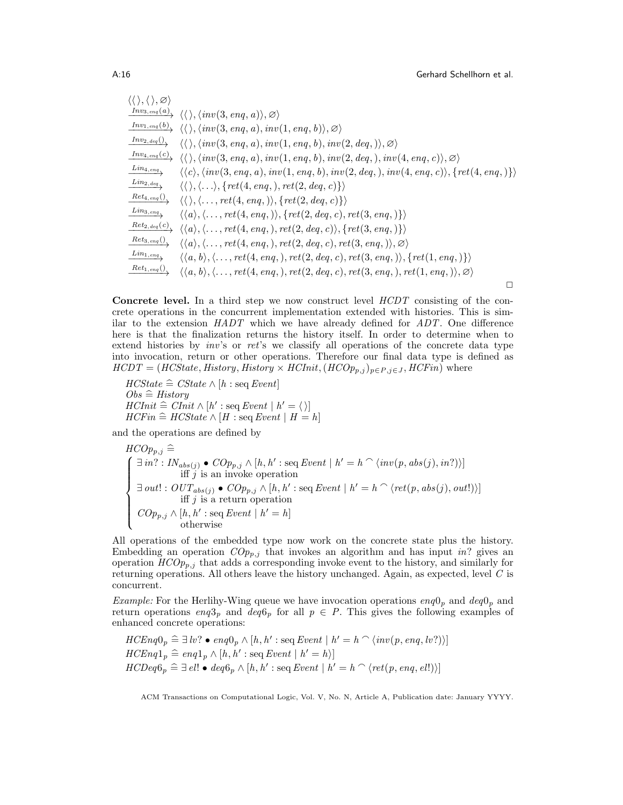| $\langle\langle \rangle,\langle \rangle,\varnothing\rangle$ |                                                                                                                                                                   |  |
|-------------------------------------------------------------|-------------------------------------------------------------------------------------------------------------------------------------------------------------------|--|
|                                                             | $\xrightarrow{Inv_{3, enq}(a)} \langle \langle \ \rangle, \langle inv(3, enq, a) \rangle, \varnothing \rangle$                                                    |  |
|                                                             | $\xrightarrow{Inv_{1, enq}(b)} \langle \langle \ \rangle, \langle inv(3, enq, a), inv(1, enq, b) \rangle, \varnothing \rangle$                                    |  |
| $Inv_{2,deq}()$                                             | $\langle \langle \rangle, \langle inv(3, enq, a), inv(1, enq, b), inv(2, deq, ) \rangle, \varnothing \rangle$                                                     |  |
|                                                             | $\longrightarrow^{Inv_{4, enq}(c)} \langle \langle \ \rangle, \langle inv(3, enq, a), inv(1, enq, b), inv(2, deq, ), inv(4, enq, c) \rangle, \varnothing \rangle$ |  |
| $\lim_{n\to\infty}$                                         | $\langle \langle c \rangle, \langle inv(3, enq, a), inv(1, enq, b), inv(2, deq,), inv(4, enq, c) \rangle, \{ ret(4, enq, ) \} \rangle$                            |  |
| $\overrightarrow{Lin_{2,deq}}$                              | $\langle \langle \rangle, \langle \ldots \rangle, \{ ret(4, eng,), ret(2, deg, c) \} \rangle$                                                                     |  |
| $Ret_{4,eq}()$                                              | $\langle \langle \rangle, \langle \ldots, ret(4, eng, ) \rangle, \{ ret(2, deg, c) \} \rangle$                                                                    |  |
| $\lim_{3, e \neq q}$                                        | $\langle \langle a \rangle, \langle \ldots, ret(4, eng, ) \rangle, \{ ret(2, deg, c), ret(3, eng, ) \} \rangle$                                                   |  |
| $Ret_{2,deq}(c)$                                            | $\langle \langle a \rangle, \langle \ldots, ret(4, enq, ), ret(2, deg, c) \rangle, \{ ret(3, eng, ) \} \rangle$                                                   |  |
| $Ret_{3,eq}()$                                              | $\langle \langle a \rangle, \langle \ldots, ret(4, eng, ), ret(2, deg, c), ret(3, eng, ) \rangle, \varnothing \rangle$                                            |  |
| $\overline{Lin_{1,eng}}$                                    | $\langle \langle a, b \rangle, \langle \ldots, ret(4, enq, ), ret(2, deg, c), ret(3, eng, ) \rangle, \{ ret(1, eng, ) \} \rangle$                                 |  |
| $Ret_{1,eq}()$                                              | $\langle \langle a, b \rangle, \langle \ldots, ret(4, eng, ), ret(2, deg, c), ret(3, eng, ), ret(1, eng, ) \rangle, \varnothing \rangle$                          |  |
|                                                             |                                                                                                                                                                   |  |

Concrete level. In a third step we now construct level  $HCDT$  consisting of the concrete operations in the concurrent implementation extended with histories. This is similar to the extension  $HADT$  which we have already defined for  $ADT$ . One difference here is that the finalization returns the history itself. In order to determine when to extend histories by  $inv$ 's or ret's we classify all operations of the concrete data type into invocation, return or other operations. Therefore our final data type is defined as  $HCDT = (HCState, History, History \times HClnit, (HCOp_{p,j})_{p \in P, j \in J}, HCFin)$  where

 $HCS the \hat{=} CState \wedge [h : seqEvent]$  $Obs \hat{=} History$  $HClnit \triangleq Clnit \wedge [h': \text{seq} Event \mid h' = \langle \rangle]$  $HCFin \cong HCS the \wedge [H : seqEvent \mid H = h]$ 

and the operations are defined by

$$
HCOp_{p,j} \widehat{=} \left\{ \begin{array}{l}\n\exists in? : IN_{abs(j)} \bullet \; COp_{p,j} \land [h, h': \text{seq Event} \mid h' = h \land \langle inv(p, abs(j), in?) \rangle] \\
\text{iff } j \text{ is an invoke operation} \\
\exists \; out! : OUT_{abs(j)} \bullet \; COp_{p,j} \land [h, h': \text{seq Event} \mid h' = h \land \langle ret(p, abs(j), out!) \rangle] \\
\text{iff } j \text{ is a return operation} \\
\text{COp}_{p,j} \land [h, h': \text{seq Event} \mid h' = h] \\
\text{otherwise}\n\end{array}\n\right\}
$$

All operations of the embedded type now work on the concrete state plus the history. Embedding an operation  $COP_{p,j}$  that invokes an algorithm and has input in? gives an operation  $HCOp_{p,j}$  that adds a corresponding invoke event to the history, and similarly for returning operations. All others leave the history unchanged. Again, as expected, level  $C$  is concurrent.

*Example:* For the Herlihy-Wing queue we have invocation operations  $enq0<sub>p</sub>$  and  $deq0<sub>p</sub>$  and return operations eng<sub>2</sub><sup>p</sup> and deg<sub>p</sub> for all  $p \in P$ . This gives the following examples of enhanced concrete operations:

 $HCEnq0_p \triangleq \exists \, hv? \bullet \, eng0_p \land [h, h': \text{seq} \, Event \mid h' = h \land \langle inv(p, \text{eng}, \, hv?))]$  $HCEnq1_p \triangleq enq1_p \wedge [h, h': \text{seq Event} \mid h' = h)]$  $HCDeq6_p \cong \exists \text{ } el! \bullet deg6_p \land [h, h': \text{seq }Event \mid h' = h \cap \langle ret(p, eng, el!) \rangle]$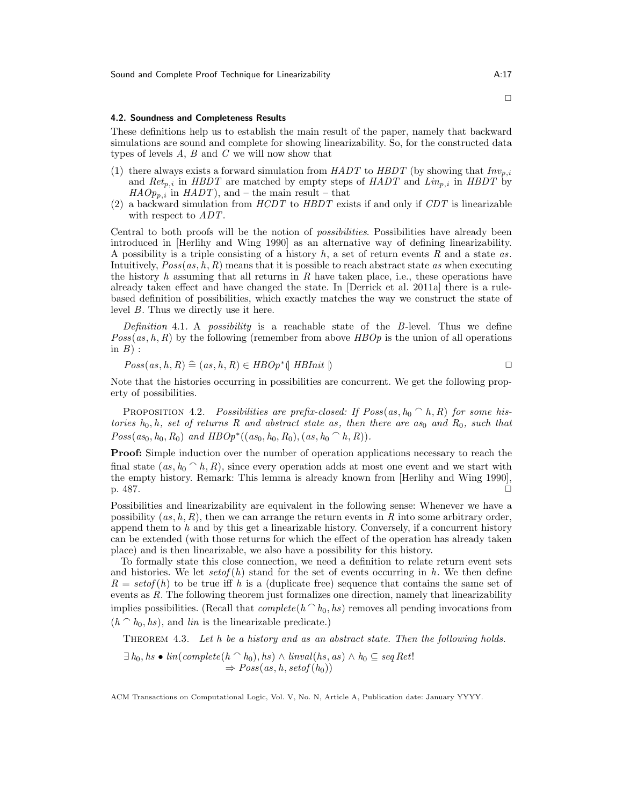# 4.2. Soundness and Completeness Results

These definitions help us to establish the main result of the paper, namely that backward simulations are sound and complete for showing linearizability. So, for the constructed data types of levels  $A, B$  and  $C$  we will now show that

- (1) there always exists a forward simulation from  $HADT$  to  $HBDT$  (by showing that  $Inv_{p,i}$ and  $Ret_{p,i}$  in  $HBDT$  are matched by empty steps of  $HADT$  and  $Lin_{p,i}$  in  $HBDT$  by  $H A O p_{p,i}$  in  $H A D T$ ), and – the main result – that
- (2) a backward simulation from  $HCDT$  to  $HBDT$  exists if and only if  $CDT$  is linearizable with respect to  $ADT$ .

Central to both proofs will be the notion of possibilities. Possibilities have already been introduced in [Herlihy and Wing 1990] as an alternative way of defining linearizability. A possibility is a triple consisting of a history  $h$ , a set of return events  $R$  and a state  $as$ . Intuitively,  $Poss(as, h, R)$  means that it is possible to reach abstract state as when executing the history h assuming that all returns in R have taken place, i.e., these operations have already taken effect and have changed the state. In [Derrick et al. 2011a] there is a rulebased definition of possibilities, which exactly matches the way we construct the state of level B. Thus we directly use it here.

Definition 4.1. A possibility is a reachable state of the  $B$ -level. Thus we define  $Poss(a, h, R)$  by the following (remember from above  $HBOp$  is the union of all operations in  $B$ ) :

$$
Poss(as, h, R) \cong (as, h, R) \in HBOp^* \{(HHInit) \} \square
$$

Note that the histories occurring in possibilities are concurrent. We get the following property of possibilities.

PROPOSITION 4.2. Possibilities are prefix-closed: If  $Poss(as, h_0 \cap h, R)$  for some histories  $h_0, h$ , set of returns R and abstract state as, then there are as<sub>0</sub> and  $R_0$ , such that  $Poss(a_{s_0}, h_0, R_0)$  and  $HBOp^*((as_0, h_0, R_0), (as, h_0 \cap h, R)).$ 

**Proof:** Simple induction over the number of operation applications necessary to reach the final state  $(as, h_0 \cap h, R)$ , since every operation adds at most one event and we start with the empty history. Remark: This lemma is already known from [Herlihy and Wing 1990], p. 487. ✷

Possibilities and linearizability are equivalent in the following sense: Whenever we have a possibility  $(as, h, R)$ , then we can arrange the return events in R into some arbitrary order, append them to h and by this get a linearizable history. Conversely, if a concurrent history can be extended (with those returns for which the effect of the operation has already taken place) and is then linearizable, we also have a possibility for this history.

To formally state this close connection, we need a definition to relate return event sets and histories. We let  $set(f(h))$  stand for the set of events occurring in h. We then define  $R = set of (h)$  to be true iff h is a (duplicate free) sequence that contains the same set of events as  $R$ . The following theorem just formalizes one direction, namely that linearizability implies possibilities. (Recall that *complete*( $h \cap h_0$ , hs) removes all pending invocations from  $(h \cap h_0, hs)$ , and lin is the linearizable predicate.)

THEOREM 4.3. Let h be a history and as an abstract state. Then the following holds.

 $\exists h_0, hs \bullet lin(complete(h \cap h_0), hs) \land linval(hs, as) \land h_0 \subseteq seqRet!$  $\Rightarrow Poss(as, h, setof(h_0))$ 

ACM Transactions on Computational Logic, Vol. V, No. N, Article A, Publication date: January YYYY.

 $\Box$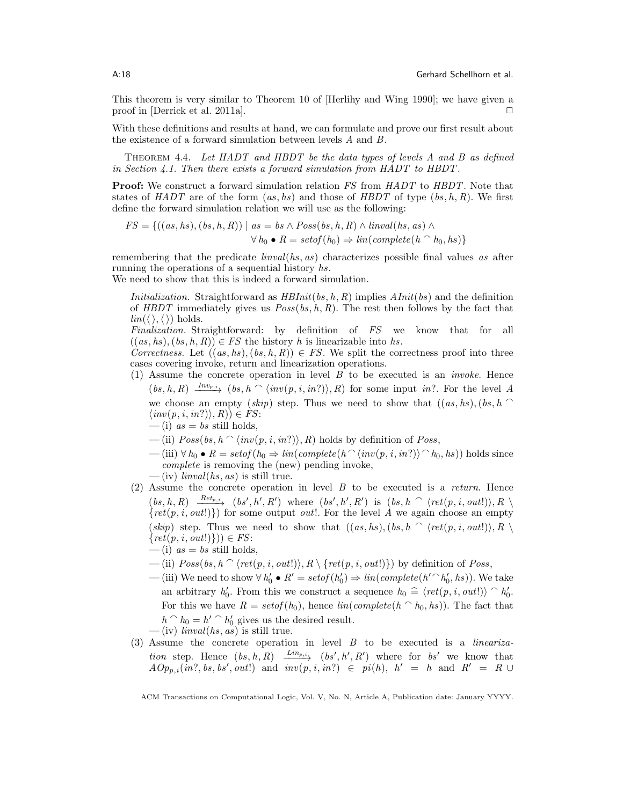This theorem is very similar to Theorem 10 of [Herlihy and Wing 1990]; we have given a proof in [Derrick et al. 2011a].  $\Box$ 

With these definitions and results at hand, we can formulate and prove our first result about the existence of a forward simulation between levels A and B.

Theorem 4.4. Let HADT and HBDT be the data types of levels A and B as defined in Section 4.1. Then there exists a forward simulation from HADT to HBDT .

**Proof:** We construct a forward simulation relation FS from HADT to HBDT. Note that states of HADT are of the form  $(as, hs)$  and those of HBDT of type  $(bs, h, R)$ . We first define the forward simulation relation we will use as the following:

$$
FS = \{((as, hs), (bs, h, R)) \mid as = bs \land Poss(bs, h, R) \land \text{linval}(hs, as) \land \newline \forall h_0 \bullet R = setof(h_0) \Rightarrow \text{lin}(complete(h \cap h_0, hs))\}
$$

remembering that the predicate  $linval(hs, as)$  characterizes possible final values as after running the operations of a sequential history hs.

We need to show that this is indeed a forward simulation.

*Initialization.* Straightforward as  $HBInit(bs, h, R)$  implies  $AInit(bs)$  and the definition of HBDT immediately gives us  $Poss(bs, h, R)$ . The rest then follows by the fact that  $lin(\langle \rangle, \langle \rangle)$  holds.

Finalization. Straightforward: by definition of FS we know that for all  $((as, hs), (bs, h, R)) \in FS$  the history h is linearizable into hs.

Correctness. Let  $((as, hs), (bs, h, R)) \in FS$ . We split the correctness proof into three cases covering invoke, return and linearization operations.

- (1) Assume the concrete operation in level B to be executed is an invoke. Hence  $(b, h, R) \xrightarrow{Inv_{p,i}} (bs, h \cap \langle inv(p, i, in?)\rangle, R)$  for some input in?. For the level A we choose an empty (skip) step. Thus we need to show that  $((as, hs), (bs, h \cap$  $\langle inv(p, i, in?)\rangle, R)\in FS:$ 
	- $-$ (i)  $as = bs$  still holds,
	- (ii)  $Poss(bs, h \cap \langle inv(p, i, in?)\rangle, R)$  holds by definition of Poss,

 $-$ (iii) ∀  $h_0 \bullet R = setof(h_0 \Rightarrow lin(complete(h ^ \wedge \langle inv(p, i, in? \rangle) ^ \wedge h_0, hs))$  holds since complete is removing the (new) pending invoke,

- $-$ (iv) linval(hs, as) is still true.
- (2) Assume the concrete operation in level  $B$  to be executed is a return. Hence  $(b, h, R) \xrightarrow{Ret_{p,i}} (bs', h', R')$  where  $(bs', h', R')$  is  $(bs, h \cap \langle ret(p, i, out!) \rangle, R \setminus$  $\{ret(p, i, out!) \}$  for some output *out*!. For the level A we again choose an empty (skip) step. Thus we need to show that  $((as, hs), (bs, h \cap \langle ret(p, i, out!) \rangle, R \setminus$  $\{ret(p, i, out!) \}) \in FS:$ 
	- $-$ (i)  $as = bs$  still holds.
	- (ii)  $Poss(bs, h \ ^ \wedge \langle ret(p, i, out!) \rangle, R \ \ \{ ret(p, i, out!) \})$  by definition of Poss,
	- (iii) We need to show  $\forall h'_0 \cdot R' = setof(h'_0) \Rightarrow lin(complete(h' \cap h'_0, hs))$ . We take an arbitrary  $h'_0$ . From this we construct a sequence  $h_0 \triangleq \langle ret(p, i, out!) \rangle \cap h'_0$ . For this we have  $R = setof(h_0)$ , hence  $lin(complete(h \cap h_0, hs))$ . The fact that  $h \cap h_0 = h' \cap h'_0$  gives us the desired result.
	- $-$  (iv) linval(hs, as) is still true.
- (3) Assume the concrete operation in level B to be executed is a linearization step. Hence  $(bs, h, R) \xrightarrow{Lin_{p,i}} (bs', h', R')$  where for  $bs'$  we know that  $AOp_{p,i}(in?,bs,bs',out!)$  and  $inv(p,i,in?) \in pi(h), h' = h$  and  $R' = R \cup$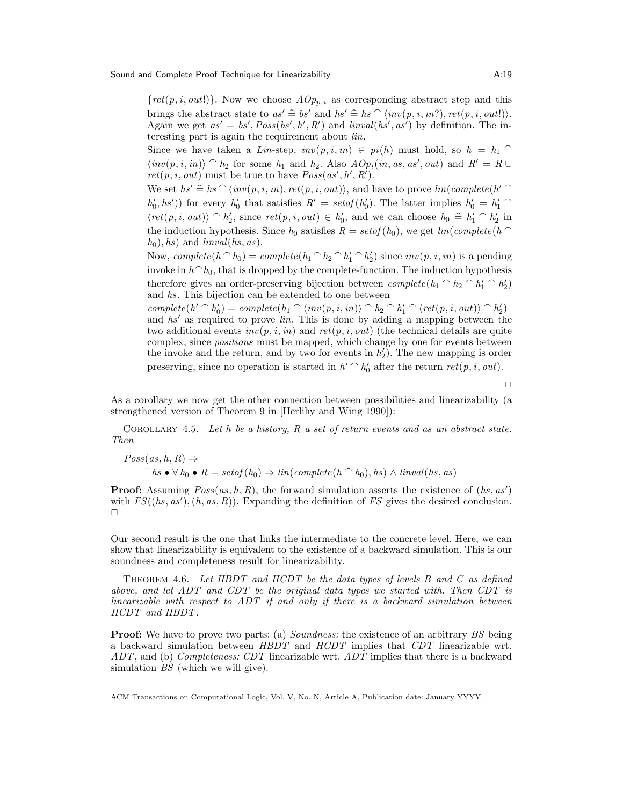$\{ret(p, i, out!) \}$ . Now we choose  $AOp_{p,i}$  as corresponding abstract step and this brings the abstract state to  $as' \hat{=} bs'$  and  $hs' \hat{=} hs \cap \langle inv(p, i, in?), ret(p, i, out!) \rangle$ . Again we get  $as' = bs', Poss(bs', h', R')$  and  $linval(hs', as')$  by definition. The interesting part is again the requirement about lin.

Since we have taken a *Lin*-step,  $inv(p, i, in) \in pi(h)$  must hold, so  $h = h_1$  $\langle inv(p, i, in) \rangle \cap h_2$  for some  $h_1$  and  $h_2$ . Also  $AOp_i(in, as, as', out)$  and  $R' = R \cup$  $ret(p, i, out)$  must be true to have  $Poss(as', h', R')$ .

We set  $hs' \triangleq hs \cap \langle inv(p, i, in), ret(p, i, out) \rangle$ , and have to prove  $lin(complete(h' \cap$  $h'_0$ ,  $hs'$ )) for every  $h'_0$  that satisfies  $R' = setof(h'_0)$ . The latter implies  $h'_0 = h'_1$  $\langle ret(p, i, out) \rangle \cap h'_2$ , since  $ret(p, i, out) \in h'_0$ , and we can choose  $h_0 \hat{=} h'_1 \cap h'_2$  in the induction hypothesis. Since  $h_0$  satisfies  $R = setof(h_0)$ , we get  $lin(complete(h \cap$  $h_0$ , hs) and linval(hs, as).

Now, complete  $(h \cap h_0) = complete(h_1 \cap h_2 \cap h'_1 \cap h'_2)$  since  $inv(p, i, in)$  is a pending invoke in  $h \cap h_0$ , that is dropped by the complete-function. The induction hypothesis therefore gives an order-preserving bijection between  $complete(h_1 \cap h_2 \cap h'_1 \cap h'_2)$ and hs. This bijection can be extended to one between

 $complete(h' \cap h'_0) = complete(h_1 \cap \langle inv(p, i, in) \rangle \cap h_2 \cap h'_1 \cap \langle ret(p, i, out) \rangle \cap h'_2)$ and hs′ as required to prove lin. This is done by adding a mapping between the two additional events  $inv(p, i, in)$  and  $ret(p, i, out)$  (the technical details are quite complex, since *positions* must be mapped, which change by one for events between the invoke and the return, and by two for events in  $h'_2$ ). The new mapping is order

preserving, since no operation is started in  $h' \cap h'_0$  after the return  $ret(p, i, out)$ .

 $\Box$ 

As a corollary we now get the other connection between possibilities and linearizability (a strengthened version of Theorem 9 in [Herlihy and Wing 1990]):

COROLLARY 4.5. Let h be a history,  $R$  a set of return events and as an abstract state. Then

 $Poss(as, h, R) \Rightarrow$  $\exists$  hs  $\bullet \forall$  h<sub>0</sub>  $\bullet$   $R = setof(h_0) \Rightarrow lin(complete(h \cap h_0), hs) \wedge linval(hs, as))$ 

**Proof:** Assuming  $Poss(as, h, R)$ , the forward simulation asserts the existence of  $(hs, as')$ with  $FS((hs, as'), (h, as, R))$ . Expanding the definition of FS gives the desired conclusion.  $\Box$ 

Our second result is the one that links the intermediate to the concrete level. Here, we can show that linearizability is equivalent to the existence of a backward simulation. This is our soundness and completeness result for linearizability.

Theorem 4.6. Let HBDT and HCDT be the data types of levels B and C as defined above, and let ADT and CDT be the original data types we started with. Then CDT is linearizable with respect to  $ADT$  if and only if there is a backward simulation between HCDT and HBDT .

**Proof:** We have to prove two parts: (a) *Soundness:* the existence of an arbitrary BS being a backward simulation between HBDT and HCDT implies that CDT linearizable wrt. ADT, and (b) Completeness: CDT linearizable wrt. ADT implies that there is a backward simulation BS (which we will give).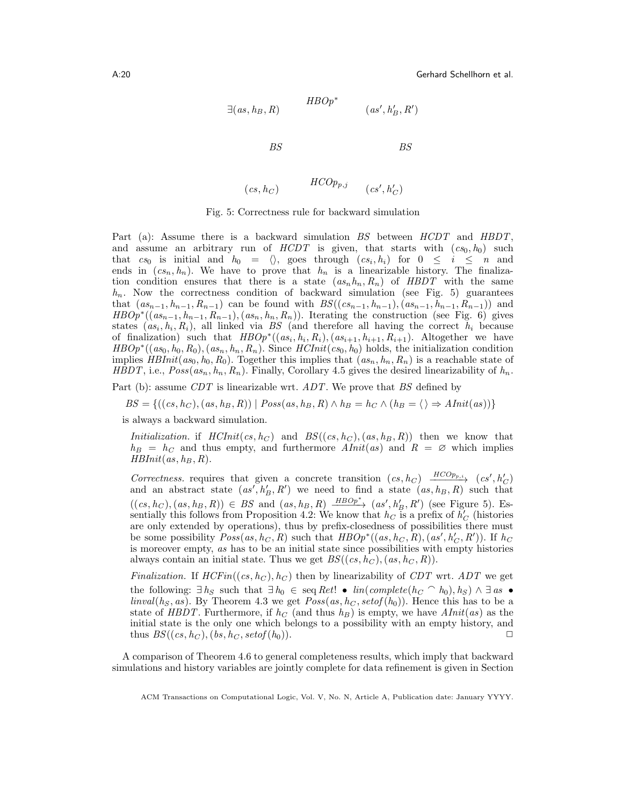BS

$$
\exists (as, h_B, R) \qquad \qquad HBOp^* \qquad (as', h'_B, R')
$$

BS

 $(c s', h'_C)$  $(cs, h<sub>C</sub>)$  $HCOp_{p,j}$ 

Fig. 5: Correctness rule for backward simulation

Part (a): Assume there is a backward simulation BS between HCDT and HBDT, and assume an arbitrary run of  $HCDT$  is given, that starts with  $(c_{60}, h_0)$  such that  $cs_0$  is initial and  $h_0 = \langle \rangle$ , goes through  $(cs_i, h_i)$  for  $0 \le i \le n$  and ends in  $(cs_n, h_n)$ . We have to prove that  $h_n$  is a linearizable history. The finalization condition ensures that there is a state  $(as_n h_n, R_n)$  of HBDT with the same  $h_n$ . Now the correctness condition of backward simulation (see Fig. 5) guarantees that  $(as_{n-1}, h_{n-1}, R_{n-1})$  can be found with  $BS((cs_{n-1}, h_{n-1}), (as_{n-1}, h_{n-1}, R_{n-1}))$  and  $HBOp^*((as_{n-1}, h_{n-1}, R_{n-1}), (as_n, h_n, R_n))$ . Iterating the construction (see Fig. 6) gives states  $(as_i, h_i, R_i)$ , all linked via BS (and therefore all having the correct  $h_i$  because of finalization) such that  $HBOp^*((as_i, h_i, R_i), (as_{i+1}, h_{i+1}, R_{i+1})$ . Altogether we have  $HBOp<sup>*</sup>((as<sub>0</sub>, h<sub>0</sub>, R<sub>0</sub>), (as<sub>n</sub>, h<sub>n</sub>, R<sub>n</sub>).$  Since  $HClnit(cs<sub>0</sub>, h<sub>0</sub>)$  holds, the initialization condition implies  $HBInit(as_0, h_0, R_0)$ . Together this implies that  $(as_n, h_n, R_n)$  is a reachable state of HBDT, i.e.,  $Poss(as_n, h_n, R_n)$ . Finally, Corollary 4.5 gives the desired linearizability of  $h_n$ .

Part (b): assume CDT is linearizable wrt. ADT. We prove that BS defined by

 $BS = \{((cs, h_C), (as, h_B, R)) \mid Poss(as, h_B, R) \wedge h_B = h_C \wedge (h_B = \langle \rangle \Rightarrow AInit(as))\}$ 

is always a backward simulation.

*Initialization.* if  $HClnit(cs, h_C)$  and  $BS((cs, h_C), (as, h_B, R))$  then we know that  $h_B = h_C$  and thus empty, and furthermore  $AInit(as)$  and  $R = \emptyset$  which implies  $H\!B\!Int(as,h_B, R).$ 

Correctness. requires that given a concrete transition  $(cs, h_c) \xrightarrow{HCOp_{p,i}} (cs', h'_c)$ and an abstract state  $(as', h'_B, R')$  we need to find a state  $(as, h_B, R)$  such that  $((cs, h_C), (as, h_B, R)) \in BS$  and  $(as, h_B, R) \xrightarrow{HBOp^*} (as', h'_B, R')$  (see Figure 5). Essentially this follows from Proposition 4.2: We know that  $h_C$  is a prefix of  $h'_C$  (histories are only extended by operations), thus by prefix-closedness of possibilities there must be some possibility  $Poss(as, h<sub>C</sub>, R)$  such that  $HBOp^*((as, h<sub>C</sub>, R), (as', h'<sub>C</sub>, R'))$ . If  $h<sub>C</sub>$ is moreover empty, as has to be an initial state since possibilities with empty histories always contain an initial state. Thus we get  $BS((cs, h<sub>C</sub>), (as, h<sub>C</sub>, R)).$ 

Finalization. If  $HCFin((cs, h_C), h_C)$  then by linearizability of CDT wrt. ADT we get the following:  $\exists h_S$  such that  $\exists h_0 \in \text{seq} \text{Ret}! \bullet \text{ lin}(\text{complete}(h_C \cap h_0), h_S) \land \exists \text{ as } \bullet$ linval( $h_S$ , as). By Theorem 4.3 we get  $Poss(as, h_C, setof (h_0))$ . Hence this has to be a state of HBDT. Furthermore, if  $h_C$  (and thus  $h_B$ ) is empty, we have  $\overline{AInit}(as)$  as the initial state is the only one which belongs to a possibility with an empty history, and thus  $BS((cs, h_C), (bs, h_C, setof(h_0))$ .

A comparison of Theorem 4.6 to general completeness results, which imply that backward simulations and history variables are jointly complete for data refinement is given in Section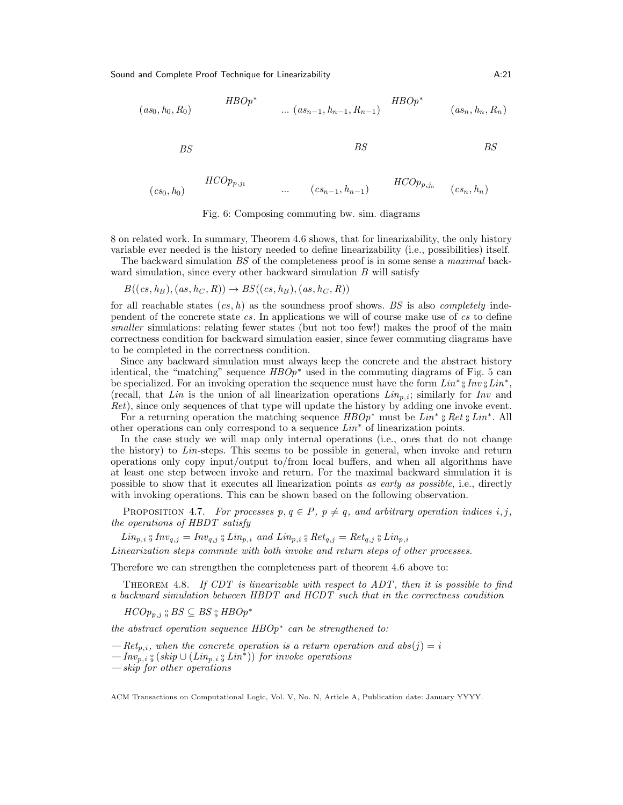$$
(as_0, h_0, R_0) \t\t HBOp^* \t\t ... (as_{n-1}, h_{n-1}, R_{n-1}) \t HBOp^* \t\t (as_n, h_n, R_n)
$$

$$
BS \hspace{5.2cm} BS \hspace{5.2cm} BS \hspace{6.3cm} BS
$$

$$
(cs_0, h_0) \t HCOp_{p,j_1} \t ... \t (cs_{n-1}, h_{n-1}) \t HCOp_{p,j_n} \t (cs_n, h_n)
$$

#### Fig. 6: Composing commuting bw. sim. diagrams

8 on related work. In summary, Theorem 4.6 shows, that for linearizability, the only history variable ever needed is the history needed to define linearizability (i.e., possibilities) itself.

The backward simulation BS of the completeness proof is in some sense a *maximal* backward simulation, since every other backward simulation B will satisfy

$$
B((cs, h_B), (as, h_C, R)) \rightarrow BS((cs, h_B), (as, h_C, R))
$$

for all reachable states  $(c, h)$  as the soundness proof shows. BS is also *completely* independent of the concrete state cs. In applications we will of course make use of cs to define smaller simulations: relating fewer states (but not too few!) makes the proof of the main correctness condition for backward simulation easier, since fewer commuting diagrams have to be completed in the correctness condition.

Since any backward simulation must always keep the concrete and the abstract history identical, the "matching" sequence  $H B O p^*$  used in the commuting diagrams of Fig. 5 can be specialized. For an invoking operation the sequence must have the form  $Lin^*_{g}Inv_{g} Lin^*$ , (recall, that  $Lin$  is the union of all linearization operations  $Lin_{p,i}$ ; similarly for  $Inv$  and Ret), since only sequences of that type will update the history by adding one invoke event.

For a returning operation the matching sequence  $HBOp^*$  must be  $Lin^*$   $_{9}$   $Ret$   $_{9}^{9} Lin^*$ . All other operations can only correspond to a sequence  $Lin^*$  of linearization points.

In the case study we will map only internal operations (i.e., ones that do not change the history) to Lin-steps. This seems to be possible in general, when invoke and return operations only copy input/output to/from local buffers, and when all algorithms have at least one step between invoke and return. For the maximal backward simulation it is possible to show that it executes all linearization points as early as possible, i.e., directly with invoking operations. This can be shown based on the following observation.

PROPOSITION 4.7. For processes  $p, q \in P$ ,  $p \neq q$ , and arbitrary operation indices i, j, the operations of HBDT satisfy

 $Lin_{p,i}$   $_{9}$   $Inv_{q,j} = Inv_{q,j}$   $_{9}^{o}$   $Lin_{p,i}$  and  $Lin_{p,i}$   $_{9}^{o}$   $Ret_{q,j} = Ret_{q,j}$   $_{9}^{o}$   $Lin_{p,i}$ 

Linearization steps commute with both invoke and return steps of other processes.

Therefore we can strengthen the completeness part of theorem 4.6 above to:

THEOREM 4.8. If  $CDT$  is linearizable with respect to  $ADT$ , then it is possible to find a backward simulation between HBDT and HCDT such that in the correctness condition

 $HCOp_{p,j}$   ${}_{9}^{o}BS \subseteq BS$   ${}_{9}^{o}HBOp^*$ 

the abstract operation sequence HBOp<sup>∗</sup> can be strengthened to:

 $-Ret_{p,i}$ , when the concrete operation is a return operation and  $abs(j) = i$ 

 $\sum_{i=1}^{\infty} \sum_{j=1}^{\infty} (skip \cup (Lin_{p,i} \S Lin^*))$  for invoke operations

— skip for other operations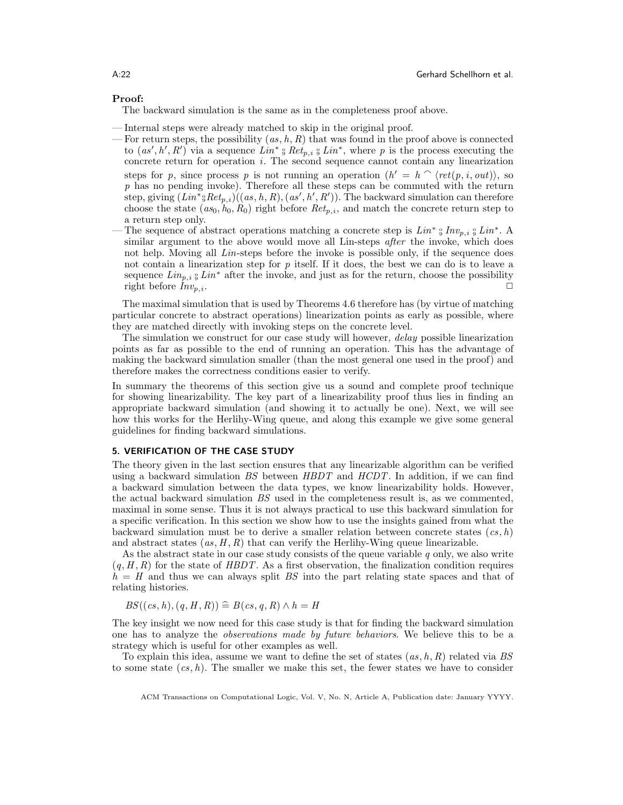# Proof:

The backward simulation is the same as in the completeness proof above.

- Internal steps were already matched to skip in the original proof.
- For return steps, the possibility  $(as, h, R)$  that was found in the proof above is connected to  $(as', h', R')$  via a sequence  $Lin^* {\mathfrak g} Ret_{p,i} {\mathfrak g} Lin^*$ , where p is the process executing the concrete return for operation i. The second sequence cannot contain any linearization steps for p, since process p is not running an operation  $(h' = h \cap \langle ret(p, i, out) \rangle)$ , so p has no pending invoke). Therefore all these steps can be commuted with the return step, giving  $(Lin^* {\mathcal G} Ret_{p,i})((as, h, R), (as', h', R')).$  The backward simulation can therefore choose the state  $(as_0, h_0, R_0)$  right before  $Ret_{p,i}$ , and match the concrete return step to a return step only.
- The sequence of abstract operations matching a concrete step is  $Lin^*$  <sup>3</sup>  $Inv_{p,i}$  <sup>3</sup>  $Lin^*$ . A similar argument to the above would move all Lin-steps *after* the invoke, which does not help. Moving all Lin-steps before the invoke is possible only, if the sequence does not contain a linearization step for  $p$  itself. If it does, the best we can do is to leave a sequence  $\text{Lin}_{p,i}$   $\frac{\alpha}{2} \text{Lin}^*$  after the invoke, and just as for the return, choose the possibility right before  $Inv_{p,i}$ . . The contract of the contract of the contract of the contract of  $\Box$

The maximal simulation that is used by Theorems 4.6 therefore has (by virtue of matching particular concrete to abstract operations) linearization points as early as possible, where they are matched directly with invoking steps on the concrete level.

The simulation we construct for our case study will however, *delay* possible linearization points as far as possible to the end of running an operation. This has the advantage of making the backward simulation smaller (than the most general one used in the proof) and therefore makes the correctness conditions easier to verify.

In summary the theorems of this section give us a sound and complete proof technique for showing linearizability. The key part of a linearizability proof thus lies in finding an appropriate backward simulation (and showing it to actually be one). Next, we will see how this works for the Herlihy-Wing queue, and along this example we give some general guidelines for finding backward simulations.

# 5. VERIFICATION OF THE CASE STUDY

The theory given in the last section ensures that any linearizable algorithm can be verified using a backward simulation  $BS$  between  $HBDT$  and  $HCDT$ . In addition, if we can find a backward simulation between the data types, we know linearizability holds. However, the actual backward simulation BS used in the completeness result is, as we commented, maximal in some sense. Thus it is not always practical to use this backward simulation for a specific verification. In this section we show how to use the insights gained from what the backward simulation must be to derive a smaller relation between concrete states  $(c, h)$ and abstract states  $(as, H, R)$  that can verify the Herlihy-Wing queue linearizable.

As the abstract state in our case study consists of the queue variable  $q$  only, we also write  $(q, H, R)$  for the state of HBDT. As a first observation, the finalization condition requires  $h = H$  and thus we can always split BS into the part relating state spaces and that of relating histories.

$$
BS((cs, h), (q, H, R)) \widehat{=} B(cs, q, R) \wedge h = H
$$

The key insight we now need for this case study is that for finding the backward simulation one has to analyze the *observations made by future behaviors*. We believe this to be a strategy which is useful for other examples as well.

To explain this idea, assume we want to define the set of states  $(as, h, R)$  related via BS to some state  $(c, h)$ . The smaller we make this set, the fewer states we have to consider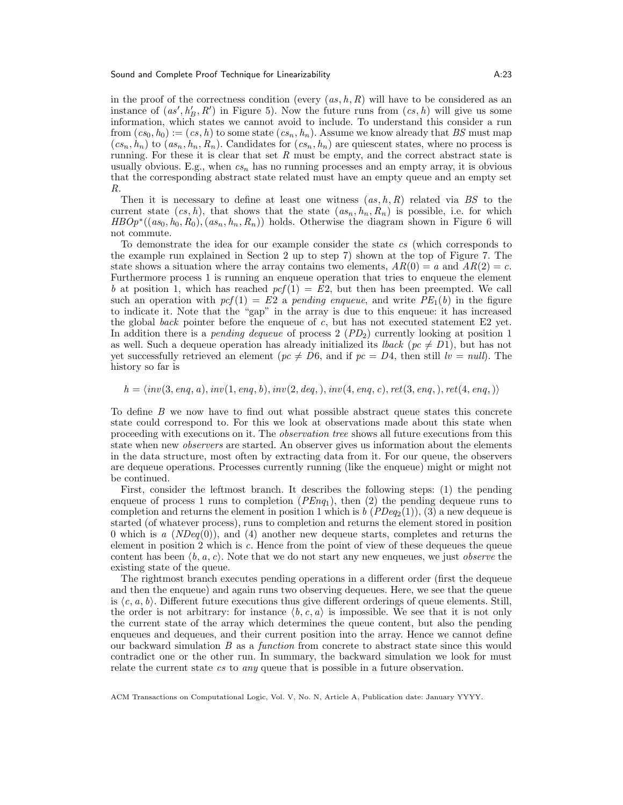in the proof of the correctness condition (every  $(as, h, R)$  will have to be considered as an instance of  $(as', h'_B, R')$  in Figure 5). Now the future runs from  $(cs, h)$  will give us some information, which states we cannot avoid to include. To understand this consider a run from  $(c_{s_0}, h_0) := (cs, h)$  to some state  $(c_{s_n}, h_n)$ . Assume we know already that BS must map  $(c_s, h_n)$  to  $(as_n, h_n, R_n)$ . Candidates for  $(c_s, h_n)$  are quiescent states, where no process is running. For these it is clear that set  $R$  must be empty, and the correct abstract state is usually obvious. E.g., when  $cs_n$  has no running processes and an empty array, it is obvious that the corresponding abstract state related must have an empty queue and an empty set R.

Then it is necessary to define at least one witness  $(as, h, R)$  related via BS to the current state  $(c, h)$ , that shows that the state  $(as_n, h_n, R_n)$  is possible, i.e. for which  $HBOp<sup>*</sup>((as<sub>0</sub>, h<sub>0</sub>, R<sub>0</sub>), (as<sub>n</sub>, h<sub>n</sub>, R<sub>n</sub>))$  holds. Otherwise the diagram shown in Figure 6 will not commute.

To demonstrate the idea for our example consider the state cs (which corresponds to the example run explained in Section 2 up to step 7) shown at the top of Figure 7. The state shows a situation where the array contains two elements,  $AR(0) = a$  and  $AR(2) = c$ . Furthermore process 1 is running an enqueue operation that tries to enqueue the element b at position 1, which has reached  $\text{pcf}(1)=E2$ , but then has been preempted. We call such an operation with  $\text{pcf}(1) = E2$  a pending enqueue, and write  $PE_1(b)$  in the figure to indicate it. Note that the "gap" in the array is due to this enqueue: it has increased the global back pointer before the enqueue of  $c$ , but has not executed statement E2 yet. In addition there is a *pending dequeue* of process  $2 (PD_2)$  currently looking at position 1 as well. Such a dequeue operation has already initialized its *lback* ( $pc \neq D1$ ), but has not yet successfully retrieved an element ( $pc \neq D6$ , and if  $pc = D4$ , then still  $lv = null$ ). The history so far is

$$
h = \langle inv(3, enq, a), inv(1, enq, b), inv(2, deq,), inv(4, enq, c), ret(3, enq,), ret(4, enq, ) \rangle
$$

To define  $B$  we now have to find out what possible abstract queue states this concrete state could correspond to. For this we look at observations made about this state when proceeding with executions on it. The observation tree shows all future executions from this state when new observers are started. An observer gives us information about the elements in the data structure, most often by extracting data from it. For our queue, the observers are dequeue operations. Processes currently running (like the enqueue) might or might not be continued.

First, consider the leftmost branch. It describes the following steps: (1) the pending enqueue of process 1 runs to completion  $(PEnq_1)$ , then (2) the pending dequeue runs to completion and returns the element in position 1 which is  $b$  (PDeq<sub>2</sub>(1)), (3) a new dequeue is started (of whatever process), runs to completion and returns the element stored in position 0 which is a  $(NDeg(0))$ , and (4) another new dequeue starts, completes and returns the element in position 2 which is c. Hence from the point of view of these dequeues the queue content has been  $\langle b, a, c \rangle$ . Note that we do not start any new enqueues, we just *observe* the existing state of the queue.

The rightmost branch executes pending operations in a different order (first the dequeue and then the enqueue) and again runs two observing dequeues. Here, we see that the queue is  $\langle c, a, b \rangle$ . Different future executions thus give different orderings of queue elements. Still, the order is not arbitrary: for instance  $\langle b, c, a \rangle$  is impossible. We see that it is not only the current state of the array which determines the queue content, but also the pending enqueues and dequeues, and their current position into the array. Hence we cannot define our backward simulation B as a function from concrete to abstract state since this would contradict one or the other run. In summary, the backward simulation we look for must relate the current state cs to *any* queue that is possible in a future observation.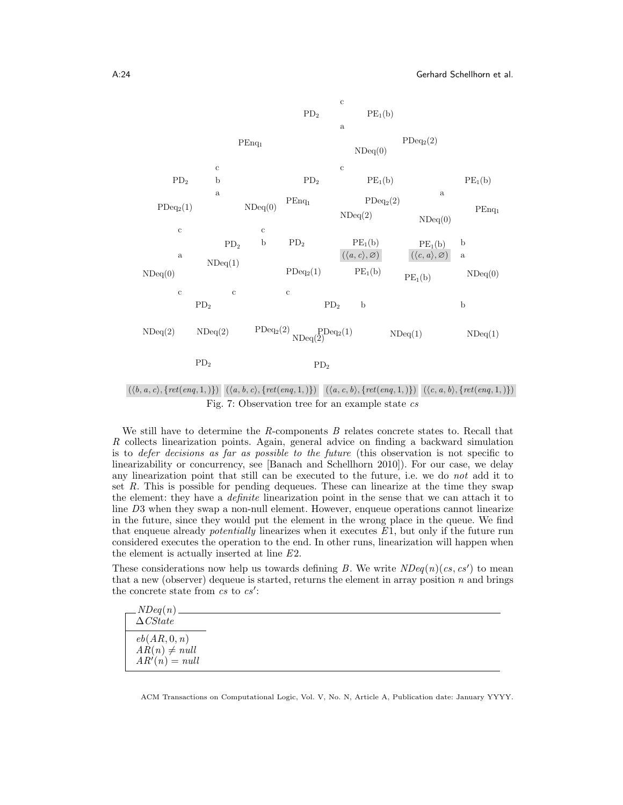

 $(\langle b, a, c \rangle, \{ret(enq, 1, )\}) \ \ (\langle a, b, c \rangle, \{ret(enq, 1, )\}) \ \ (\langle a, c, b \rangle, \{ret(enq, 1, )\}) \ \ (\langle c, a, b \rangle, \{ret(enq, 1, )\})$ Fig. 7: Observation tree for an example state cs

We still have to determine the R-components B relates concrete states to. Recall that R collects linearization points. Again, general advice on finding a backward simulation is to defer decisions as far as possible to the future (this observation is not specific to linearizability or concurrency, see [Banach and Schellhorn 2010]). For our case, we delay any linearization point that still can be executed to the future, i.e. we do not add it to set R. This is possible for pending dequeues. These can linearize at the time they swap the element: they have a *definite* linearization point in the sense that we can attach it to line D3 when they swap a non-null element. However, enqueue operations cannot linearize in the future, since they would put the element in the wrong place in the queue. We find that enqueue already *potentially* linearizes when it executes  $E1$ , but only if the future run considered executes the operation to the end. In other runs, linearization will happen when the element is actually inserted at line E2.

These considerations now help us towards defining B. We write  $NDeg(n)(cs, cs')$  to mean that a new (observer) dequeue is started, returns the element in array position  $n$  and brings the concrete state from cs to cs':

| NDeg(n)            |  |  |
|--------------------|--|--|
| $\triangle CState$ |  |  |
| eb(AR, 0, n)       |  |  |
| $AR(n) \neq null$  |  |  |
| $AR'(n) = null$    |  |  |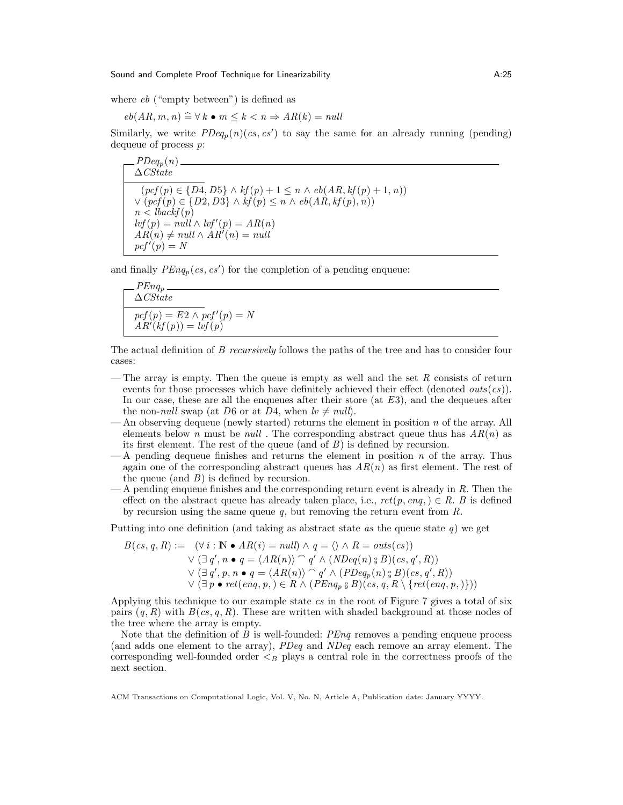where eb ("empty between") is defined as

 $eb(AR, m, n) \triangleq \forall k \bullet m \leq k \leq n \Rightarrow AR(k) = null$ 

Similarly, we write  $PDeq_p(n)(cs, cs')$  to say the same for an already running (pending) dequeue of process p:

 $PDeq_p(n)$ ∆CState  $(pcf(p) \in \{D4, D5\} \land kf(p) + 1 \leq n \land eb(AR, kf(p) + 1, n))$  $\vee$   $(pcf(p) \in \{D2, D3\} \wedge kf(p) \leq n \wedge eb(AR, kf(p), n))$  $n <$ lback $f(p)$  $\ell\nu f(p) = null \wedge \ell\nu f'(p) = AR(n)$  $AR(n) \neq null \wedge AR'(n) = null$  $pcf '(p)=N$ 

and finally  $PEnq_p(cs, cs')$  for the completion of a pending enqueue:

$$
\frac{PEnq_p}{\Delta CState}
$$
  
pcf(p) = E2 \land pcf'(p) = N  
AR'(kf(p)) = lvf(p)

 $\overline{D}$ 

The actual definition of B recursively follows the paths of the tree and has to consider four cases:

- The array is empty. Then the queue is empty as well and the set  $R$  consists of return events for those processes which have definitely achieved their effect (denoted *outs(cs))*. In our case, these are all the enqueues after their store (at E3), and the dequeues after the non-null swap (at D6 or at D4, when  $lv \neq null$ ).
- An observing dequeue (newly started) returns the element in position  $n$  of the array. All elements below n must be null. The corresponding abstract queue thus has  $AR(n)$  as its first element. The rest of the queue (and of  $B$ ) is defined by recursion.
- $-A$  pending dequeue finishes and returns the element in position n of the array. Thus again one of the corresponding abstract queues has  $AR(n)$  as first element. The rest of the queue (and  $B$ ) is defined by recursion.
- $-A$  pending enqueue finishes and the corresponding return event is already in  $R$ . Then the effect on the abstract queue has already taken place, i.e.,  $ret(p, eng.) \in R$ . B is defined by recursion using the same queue  $q$ , but removing the return event from  $R$ .

Putting into one definition (and taking as abstract state as the queue state  $q$ ) we get

$$
B(cs, q, R) := (\forall i : \mathbb{N} \bullet AR(i) = null) \land q = \langle \rangle \land R = \text{outs}(cs))
$$
  
 
$$
\lor (\exists q', n \bullet q = \langle AR(n) \rangle \cap q' \land (NDeg(n) \circ B)(cs, q', R))
$$
  
 
$$
\lor (\exists q', p, n \bullet q = \langle AR(n) \rangle \cap q' \land (PDeg_p(n) \circ B)(cs, q', R))
$$
  
 
$$
\lor (\exists p \bullet ret(enq, p, ) \in R \land (PEng_p \circ B)(cs, q, R \setminus \{ret(enq, p, )\}))
$$

Applying this technique to our example state cs in the root of Figure 7 gives a total of six pairs  $(q, R)$  with  $B(\text{cs}, q, R)$ . These are written with shaded background at those nodes of the tree where the array is empty.

Note that the definition of  $B$  is well-founded:  $PEnq$  removes a pending enqueue process (and adds one element to the array), PDeq and NDeq each remove an array element. The corresponding well-founded order  $\leq_B$  plays a central role in the correctness proofs of the next section.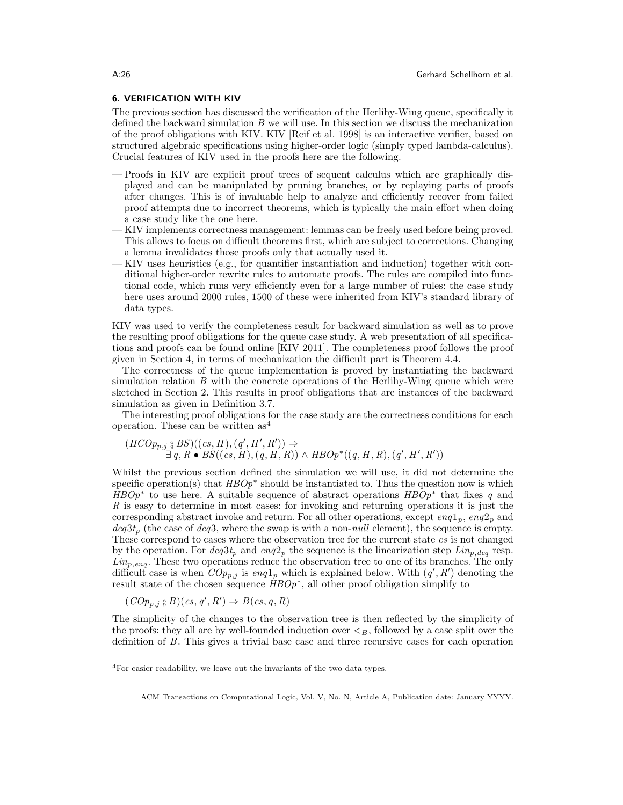### 6. VERIFICATION WITH KIV

The previous section has discussed the verification of the Herlihy-Wing queue, specifically it defined the backward simulation  $B$  we will use. In this section we discuss the mechanization of the proof obligations with KIV. KIV [Reif et al. 1998] is an interactive verifier, based on structured algebraic specifications using higher-order logic (simply typed lambda-calculus). Crucial features of KIV used in the proofs here are the following.

- Proofs in KIV are explicit proof trees of sequent calculus which are graphically displayed and can be manipulated by pruning branches, or by replaying parts of proofs after changes. This is of invaluable help to analyze and efficiently recover from failed proof attempts due to incorrect theorems, which is typically the main effort when doing a case study like the one here.
- KIV implements correctness management: lemmas can be freely used before being proved. This allows to focus on difficult theorems first, which are subject to corrections. Changing a lemma invalidates those proofs only that actually used it.
- KIV uses heuristics (e.g., for quantifier instantiation and induction) together with conditional higher-order rewrite rules to automate proofs. The rules are compiled into functional code, which runs very efficiently even for a large number of rules: the case study here uses around 2000 rules, 1500 of these were inherited from KIV's standard library of data types.

KIV was used to verify the completeness result for backward simulation as well as to prove the resulting proof obligations for the queue case study. A web presentation of all specifications and proofs can be found online [KIV 2011]. The completeness proof follows the proof given in Section 4, in terms of mechanization the difficult part is Theorem 4.4.

The correctness of the queue implementation is proved by instantiating the backward simulation relation  $B$  with the concrete operations of the Herlihy-Wing queue which were sketched in Section 2. This results in proof obligations that are instances of the backward simulation as given in Definition 3.7.

The interesting proof obligations for the case study are the correctness conditions for each operation. These can be written as<sup>4</sup>

$$
(HCOp_{p,j} \overset{\circ}{\mathfrak{g}} BS)((cs, H), (q', H', R')) \Rightarrow
$$
  

$$
\exists q, R \bullet BS((cs, H), (q, H, R)) \land HBOp^*((q, H, R), (q', H', R'))
$$

Whilst the previous section defined the simulation we will use, it did not determine the specific operation(s) that  $HBOp^*$  should be instantiated to. Thus the question now is which  $HBOp^*$  to use here. A suitable sequence of abstract operations  $HBOp^*$  that fixes q and R is easy to determine in most cases: for invoking and returning operations it is just the corresponding abstract invoke and return. For all other operations, except  $enq1_p$ ,  $enq2_p$  and  $deg3t_p$  (the case of  $deg3$ , where the swap is with a non-null element), the sequence is empty. These correspond to cases where the observation tree for the current state cs is not changed by the operation. For  $deq3t_p$  and  $enq2_p$  the sequence is the linearization step  $Lin_{p,deq}$  resp.  $Lin_{p,eng}$ . These two operations reduce the observation tree to one of its branches. The only difficult case is when  $COp_{p,j}$  is engl<sub>p</sub> which is explained below. With  $(q', R')$  denoting the result state of the chosen sequence  $\hat{H} B O p^*$ , all other proof obligation simplify to

$$
(COp_{p,j} \, \S \, B)(cs, q', R') \Rightarrow B(cs, q, R)
$$

The simplicity of the changes to the observation tree is then reflected by the simplicity of the proofs: they all are by well-founded induction over  $\lt B$ , followed by a case split over the definition of B. This gives a trivial base case and three recursive cases for each operation

<sup>&</sup>lt;sup>4</sup>For easier readability, we leave out the invariants of the two data types.

ACM Transactions on Computational Logic, Vol. V, No. N, Article A, Publication date: January YYYY.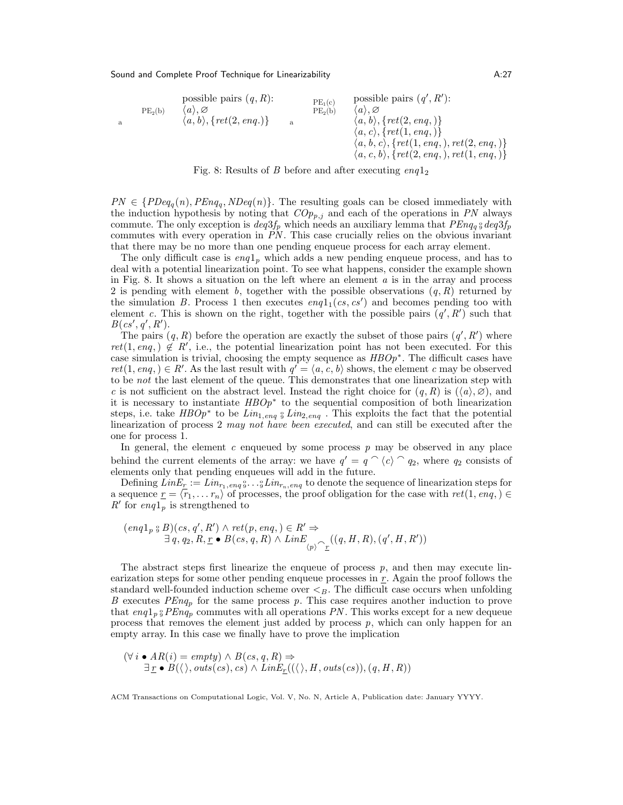a  $\mathrm{PE}_2(\mathrm{b})$ possible pairs  $(q, R)$ :  $\langle a \rangle, \varnothing$  $\langle a, b \rangle, \{ret(2, enq.)\}$  a  $PE<sub>2</sub>(b)$  $PE<sub>1</sub>(c)$  possible pairs  $(q', R')$ :  $\langle a \rangle, \varnothing$  $\langle a, b \rangle, \{ ret(2, enq,) \}$  $\langle a, c \rangle, \{ ret(1, enq,) \}$  $\langle a, b, c \rangle, \{ ret(1, enq,), ret(2, enq,) \}$  $\langle a, c, b \rangle, \{ret(2, enq, ), ret(1, enq, )\}$ 

Fig. 8: Results of B before and after executing  $enq1<sub>2</sub>$ 

 $PN \in \{PDeg_q(n), PEng_q, NDeg(n)\}.$  The resulting goals can be closed immediately with the induction hypothesis by noting that  $COp_{p,i}$  and each of the operations in PN always commute. The only exception is  $deq3f_p$  which needs an auxiliary lemma that  $PEnq_q^{\circ}deq3f_p$ commutes with every operation in  $\ddot{PN}$ . This case crucially relies on the obvious invariant that there may be no more than one pending enqueue process for each array element.

The only difficult case is  $enq1_p$  which adds a new pending enqueue process, and has to deal with a potential linearization point. To see what happens, consider the example shown in Fig. 8. It shows a situation on the left where an element  $a$  is in the array and process 2 is pending with element b, together with the possible observations  $(q, R)$  returned by the simulation B. Process 1 then executes  $enq1<sub>1</sub>(cs, cs')$  and becomes pending too with element c. This is shown on the right, together with the possible pairs  $(q', R')$  such that  $B(\textit{cs}', q', R').$ 

The pairs  $(q, R)$  before the operation are exactly the subset of those pairs  $(q', R')$  where ret(1, enq,)  $\notin R'$ , i.e., the potential linearization point has not been executed. For this case simulation is trivial, choosing the empty sequence as  $HBOp^*$ . The difficult cases have  $ret(1, enq) \in R'$ . As the last result with  $q' = \langle a, c, b \rangle$  shows, the element c may be observed to be *not* the last element of the queue. This demonstrates that one linearization step with c is not sufficient on the abstract level. Instead the right choice for  $(q, R)$  is  $(\langle a \rangle, \emptyset)$ , and it is necessary to instantiate  $HBOp^*$  to the sequential composition of both linearization steps, i.e. take  $HBOp^*$  to be  $Lin_{1,eng}$  <sup>9</sup>  $Lin_{2,eng}$ . This exploits the fact that the potential linearization of process 2 may not have been executed, and can still be executed after the one for process 1.

In general, the element  $c$  enqueued by some process  $p$  may be observed in any place behind the current elements of the array: we have  $q' = q \hat{ } \langle c \rangle \hat{ } \gamma q_2$ , where  $q_2$  consists of elements only that pending enqueues will add in the future.

Defining  $LinE_r := Lin_{r_1,eng_9} \dots {}_9\text{Lin}_{r_n,eng}$  to denote the sequence of linearization steps for a sequence  $\underline{r} = \langle \overline{r_1}, \ldots \overline{r_n} \rangle$  of processes, the proof obligation for the case with  $ret(1, eng) \in$ R' for  $enq1_p$  is strengthened to

$$
(\text{enq1}_p \overset{\circ}{\mathbf{g}} B)(\text{cs}, q', R') \land \text{ret}(p, \text{enq}, \text{ } \in R' \Rightarrow
$$
  

$$
\exists q, q_2, R, \underline{r} \bullet B(\text{cs}, q, R) \land \text{LinE}_{(p) \sim \underline{r}}((q, H, R), (q', H, R'))
$$

The abstract steps first linearize the enqueue of process  $p$ , and then may execute linearization steps for some other pending enqueue processes in  $r$ . Again the proof follows the standard well-founded induction scheme over  $\lt_B$ . The difficult case occurs when unfolding B executes  $PEnq_p$  for the same process p. This case requires another induction to prove that  $enq1_p$   $p$   $PEnq_p$  commutes with all operations PN. This works except for a new dequeue process that removes the element just added by process  $p$ , which can only happen for an empty array. In this case we finally have to prove the implication

$$
(\forall i \bullet AR(i) = empty) \land B(cs, q, R) \Rightarrow \exists \underline{r} \bullet B(\langle \rangle, \text{outs}(cs), cs) \land \text{LinE}_{\underline{r}}((\langle \rangle, H, \text{outs}(cs)), (q, H, R))
$$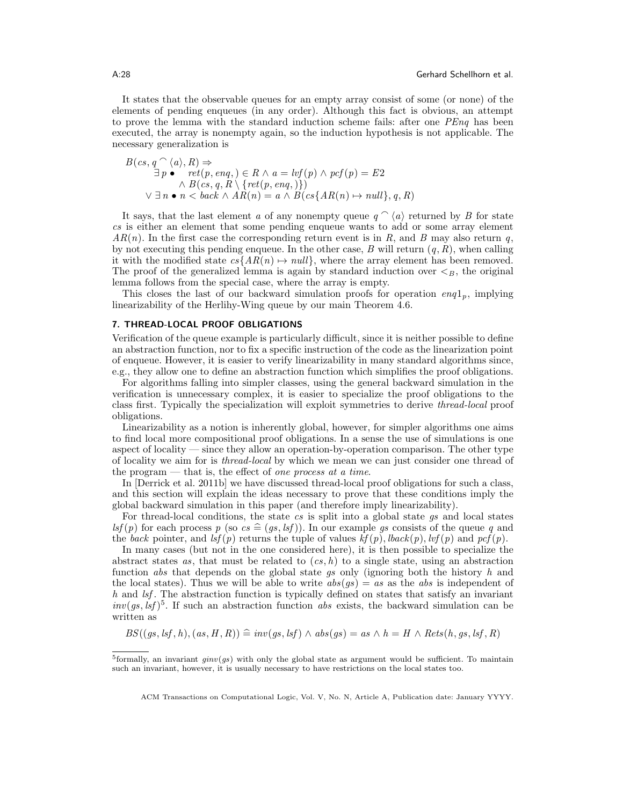It states that the observable queues for an empty array consist of some (or none) of the elements of pending enqueues (in any order). Although this fact is obvious, an attempt to prove the lemma with the standard induction scheme fails: after one *PEnq* has been executed, the array is nonempty again, so the induction hypothesis is not applicable. The necessary generalization is

$$
B (cs, q \cap \langle a \rangle, R) \Rightarrow
$$
  
\n
$$
\exists p \bullet \text{ret}(p, enq, ) \in R \land a = \text{lv}(p) \land \text{pcf}(p) = E2
$$
  
\n
$$
\land B (cs, q, R \setminus \{\text{ret}(p, enq, )\})
$$
  
\n
$$
\lor \exists n \bullet n < \text{back} \land AR(n) = a \land B (cs \{AR(n) \mapsto null\}, q, R)
$$

It says, that the last element a of any nonempty queue  $q \, \hat{\ } \, \langle a \rangle$  returned by B for state cs is either an element that some pending enqueue wants to add or some array element  $AR(n)$ . In the first case the corresponding return event is in R, and B may also return q, by not executing this pending enqueue. In the other case, B will return  $(q, R)$ , when calling it with the modified state  $cs\{AR(n) \mapsto null\}$ , where the array element has been removed. The proof of the generalized lemma is again by standard induction over  $\lt_B$ , the original lemma follows from the special case, where the array is empty.

This closes the last of our backward simulation proofs for operation  $enq1<sub>p</sub>$ , implying linearizability of the Herlihy-Wing queue by our main Theorem 4.6.

## 7. THREAD-LOCAL PROOF OBLIGATIONS

Verification of the queue example is particularly difficult, since it is neither possible to define an abstraction function, nor to fix a specific instruction of the code as the linearization point of enqueue. However, it is easier to verify linearizability in many standard algorithms since, e.g., they allow one to define an abstraction function which simplifies the proof obligations.

For algorithms falling into simpler classes, using the general backward simulation in the verification is unnecessary complex, it is easier to specialize the proof obligations to the class first. Typically the specialization will exploit symmetries to derive thread-local proof obligations.

Linearizability as a notion is inherently global, however, for simpler algorithms one aims to find local more compositional proof obligations. In a sense the use of simulations is one aspect of locality — since they allow an operation-by-operation comparison. The other type of locality we aim for is thread-local by which we mean we can just consider one thread of the program  $-$  that is, the effect of one process at a time.

In [Derrick et al. 2011b] we have discussed thread-local proof obligations for such a class, and this section will explain the ideas necessary to prove that these conditions imply the global backward simulation in this paper (and therefore imply linearizability).

For thread-local conditions, the state  $cs$  is split into a global state  $qs$  and local states  $lsf(p)$  for each process p (so  $cs \nightharpoonup (gs, lsf)$ ). In our example gs consists of the queue q and the back pointer, and lsf (p) returns the tuple of values  $kf(p)$ ,  $lback(p)$ ,  $lvf(p)$  and  $pcf(p)$ .

In many cases (but not in the one considered here), it is then possible to specialize the abstract states as, that must be related to  $(c, h)$  to a single state, using an abstraction function abs that depends on the global state  $gs$  only (ignoring both the history h and the local states). Thus we will be able to write  $abs(gs) = as$  as the abs is independent of  $h$  and lsf. The abstraction function is typically defined on states that satisfy an invariant  $inv(gs, lsf)^5$ . If such an abstraction function abs exists, the backward simulation can be written as

$$
BS((gs, lsf, h), (as, H, R)) \widehat{=} inv(gs, lsf) \wedge abs(gs) = as \wedge h = H \wedge Rests(h, gs, lsf, R)
$$

<sup>&</sup>lt;sup>5</sup>formally, an invariant  $ginv(gs)$  with only the global state as argument would be sufficient. To maintain such an invariant, however, it is usually necessary to have restrictions on the local states too.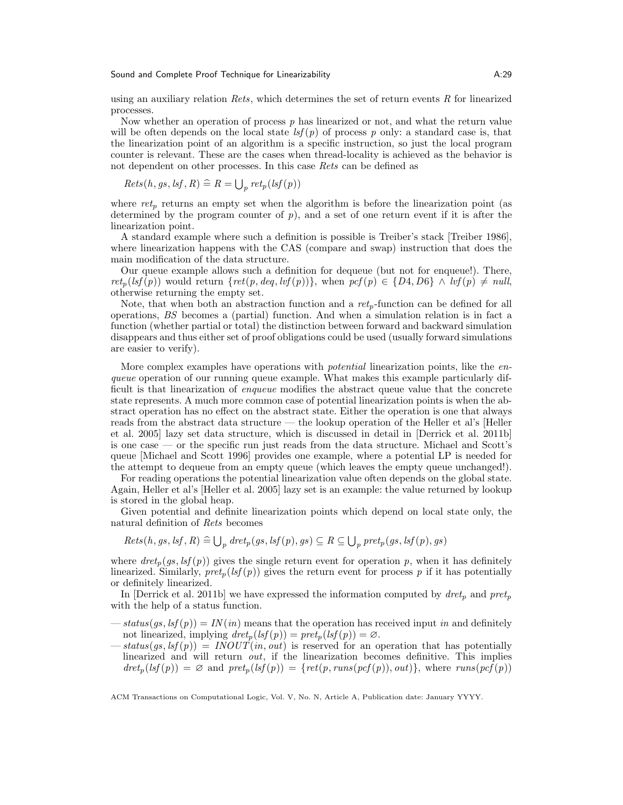using an auxiliary relation Rets, which determines the set of return events  $R$  for linearized processes.

Now whether an operation of process  $p$  has linearized or not, and what the return value will be often depends on the local state  $lsf(p)$  of process p only: a standard case is, that the linearization point of an algorithm is a specific instruction, so just the local program counter is relevant. These are the cases when thread-locality is achieved as the behavior is not dependent on other processes. In this case Rets can be defined as

$$
Rests(h, gs, lsf, R) \stackrel{\sim}{=} R = \bigcup_{p} ret_p(lsf(p))
$$

where  $ret_p$  returns an empty set when the algorithm is before the linearization point (as determined by the program counter of  $p$ ), and a set of one return event if it is after the linearization point.

A standard example where such a definition is possible is Treiber's stack [Treiber 1986], where linearization happens with the CAS (compare and swap) instruction that does the main modification of the data structure.

Our queue example allows such a definition for dequeue (but not for enqueue!). There,  $ret_p( lsf(p) )$  would return  $\{ret(p, deg, lvf(p))\}$ , when  $pcf(p) \in \{D4, D6\} \wedge lvf(p) \neq null$ , otherwise returning the empty set.

Note, that when both an abstraction function and a  $ret_p$ -function can be defined for all operations, BS becomes a (partial) function. And when a simulation relation is in fact a function (whether partial or total) the distinction between forward and backward simulation disappears and thus either set of proof obligations could be used (usually forward simulations are easier to verify).

More complex examples have operations with *potential* linearization points, like the enqueue operation of our running queue example. What makes this example particularly difficult is that linearization of *enqueue* modifies the abstract queue value that the concrete state represents. A much more common case of potential linearization points is when the abstract operation has no effect on the abstract state. Either the operation is one that always reads from the abstract data structure — the lookup operation of the Heller et al's [Heller et al. 2005] lazy set data structure, which is discussed in detail in [Derrick et al. 2011b] is one case — or the specific run just reads from the data structure. Michael and Scott's queue [Michael and Scott 1996] provides one example, where a potential LP is needed for the attempt to dequeue from an empty queue (which leaves the empty queue unchanged!).

For reading operations the potential linearization value often depends on the global state. Again, Heller et al's [Heller et al. 2005] lazy set is an example: the value returned by lookup is stored in the global heap.

Given potential and definite linearization points which depend on local state only, the natural definition of Rets becomes

$$
Rests(h,gs,lsf,R) \mathrel{\widehat{=}} \bigcup_p \mathit{dret}_p\big(\mathit{gs},\mathit{lsf}(p),\mathit{gs}\big) \subseteq R \subseteq \bigcup_p \mathit{pret}_p\big(\mathit{gs},\mathit{lsf}(p),\mathit{gs}\big)
$$

where  $\det_p(g_s, \text{lsf}(p))$  gives the single return event for operation p, when it has definitely linearized. Similarly,  $pret_p(lsf(p))$  gives the return event for process p if it has potentially or definitely linearized.

In [Derrick et al. 2011b] we have expressed the information computed by  $\det_p$  and  $pret_p$ with the help of a status function.

- status(gs, lsf(p)) = IN(in) means that the operation has received input in and definitely not linearized, implying  $\text{d}ret_p(\text{lsf}(p)) = \text{l}ret_p(\text{lsf}(p)) = \emptyset$ .
- $status(gs, lsf(p)) = INOUT(in, out)$  is reserved for an operation that has potentially linearized and will return out, if the linearization becomes definitive. This implies  $\text{d}ret_n(\text{lsf}(p)) = \emptyset$  and  $\text{pret}_n(\text{lsf}(p)) = \{ \text{ret}(p, \text{runs}(\text{pcf}(p)), \text{out}) \},$  where  $\text{runs}(\text{pcf}(p))$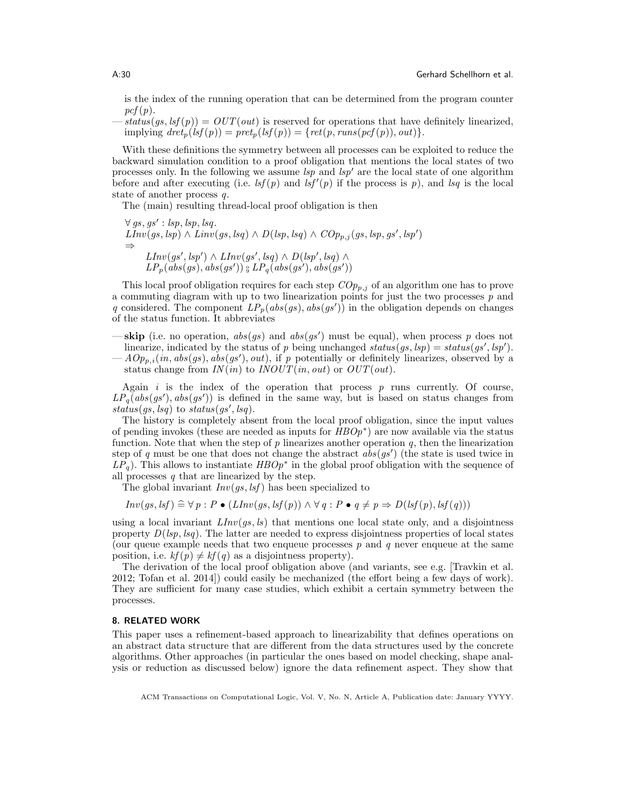is the index of the running operation that can be determined from the program counter  $pcf (p).$ 

status(gs, lsf(p)) =  $OUT(out)$  is reserved for operations that have definitely linearized, implying  $\text{d}ret_p(\text{lsf}(p)) = \text{l}ret_p(\text{lsf}(p)) = \{\text{ret}(p, \text{runs}(\text{pcf}(p)), \text{out})\}.$ 

With these definitions the symmetry between all processes can be exploited to reduce the backward simulation condition to a proof obligation that mentions the local states of two processes only. In the following we assume  $lsp$  and  $lsp'$  are the local state of one algorithm before and after executing (i.e.  $lsf(p)$  and  $lsf'(p)$  if the process is p), and lsq is the local state of another process q.

The (main) resulting thread-local proof obligation is then

 $\forall gs, gs' : lsp, lsp, lsq.$  $\overline{LInv}(gs, lsp) \wedge \overline{Linv}(gs, lsq) \wedge D(lsp, lsq) \wedge \overline{COp}_{p,j}(gs, lsp, gs', lsp')$ ⇒  $LInv(gs', lsp') \wedge LInv(gs', lsq) \wedge D(lsp', lsq) \wedge$  $LP_p(\widehat{abs}(gs), \widehat{abs}(gs'))$   $_9^\circ\,LP_q(\widehat{abs}(gs'), \widehat{abs}(gs'))$ 

This local proof obligation requires for each step  $COP_{p,j}$  of an algorithm one has to prove a commuting diagram with up to two linearization points for just the two processes  $p$  and q considered. The component  $LP_p(abs(gs), abs(gs')$  in the obligation depends on changes of the status function. It abbreviates

**-skip** (i.e. no operation,  $abs(gs)$  and  $abs(gs')$  must be equal), when process p does not linearize, indicated by the status of p being unchanged  $status(gs, lsp) = status(gs', lsp').$  $\longrightarrow AOp_{p,i}(in, abs(gs), abs(gs'), out),$  if p potentially or definitely linearizes, observed by a status change from  $IN(in)$  to  $INOUT(in, out)$  or  $OUT(out)$ .

Again  $i$  is the index of the operation that process  $p$  runs currently. Of course,  $LP_q(abs(gs'), abs(gs')$  is defined in the same way, but is based on status changes from  $status(gs, lsq)$  to  $status(gs', lsq)$ .

The history is completely absent from the local proof obligation, since the input values of pending invokes (these are needed as inputs for  $HBOp^*$ ) are now available via the status function. Note that when the step of  $p$  linearizes another operation  $q$ , then the linearization step of q must be one that does not change the abstract  $\overline{abs}(gs')$  (the state is used twice in  $LP_q$ ). This allows to instantiate  $HBOp^*$  in the global proof obligation with the sequence of all processes  $q$  that are linearized by the step.

The global invariant  $Inv(gs, lsf)$  has been specialized to

$$
Inv(gs, lsf) \cong \forall p : P \bullet (LInv(gs, lsf(p)) \land \forall q : P \bullet q \neq p \Rightarrow D(lsf(p), lsf(q)))
$$

using a local invariant  $LInv(g, s)$  that mentions one local state only, and a disjointness property  $D(lsp, lsq)$ . The latter are needed to express disjointness properties of local states (our queue example needs that two enqueue processes  $p$  and  $q$  never enqueue at the same position, i.e.  $kf(p) \neq kf(q)$  as a disjointness property).

The derivation of the local proof obligation above (and variants, see e.g. [Travkin et al. 2012; Tofan et al. 2014]) could easily be mechanized (the effort being a few days of work). They are sufficient for many case studies, which exhibit a certain symmetry between the processes.

# 8. RELATED WORK

This paper uses a refinement-based approach to linearizability that defines operations on an abstract data structure that are different from the data structures used by the concrete algorithms. Other approaches (in particular the ones based on model checking, shape analysis or reduction as discussed below) ignore the data refinement aspect. They show that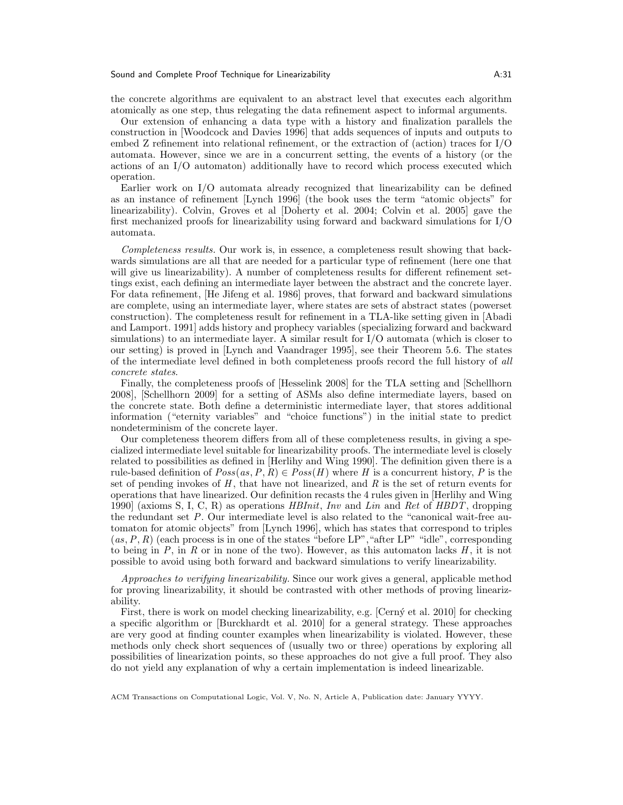the concrete algorithms are equivalent to an abstract level that executes each algorithm atomically as one step, thus relegating the data refinement aspect to informal arguments.

Our extension of enhancing a data type with a history and finalization parallels the construction in [Woodcock and Davies 1996] that adds sequences of inputs and outputs to embed Z refinement into relational refinement, or the extraction of (action) traces for I/O automata. However, since we are in a concurrent setting, the events of a history (or the actions of an I/O automaton) additionally have to record which process executed which operation.

Earlier work on I/O automata already recognized that linearizability can be defined as an instance of refinement [Lynch 1996] (the book uses the term "atomic objects" for linearizability). Colvin, Groves et al [Doherty et al. 2004; Colvin et al. 2005] gave the first mechanized proofs for linearizability using forward and backward simulations for I/O automata.

Completeness results. Our work is, in essence, a completeness result showing that backwards simulations are all that are needed for a particular type of refinement (here one that will give us linearizability). A number of completeness results for different refinement settings exist, each defining an intermediate layer between the abstract and the concrete layer. For data refinement, [He Jifeng et al. 1986] proves, that forward and backward simulations are complete, using an intermediate layer, where states are sets of abstract states (powerset construction). The completeness result for refinement in a TLA-like setting given in [Abadi and Lamport. 1991] adds history and prophecy variables (specializing forward and backward simulations) to an intermediate layer. A similar result for I/O automata (which is closer to our setting) is proved in [Lynch and Vaandrager 1995], see their Theorem 5.6. The states of the intermediate level defined in both completeness proofs record the full history of all concrete states.

Finally, the completeness proofs of [Hesselink 2008] for the TLA setting and [Schellhorn 2008], [Schellhorn 2009] for a setting of ASMs also define intermediate layers, based on the concrete state. Both define a deterministic intermediate layer, that stores additional information ("eternity variables" and "choice functions") in the initial state to predict nondeterminism of the concrete layer.

Our completeness theorem differs from all of these completeness results, in giving a specialized intermediate level suitable for linearizability proofs. The intermediate level is closely related to possibilities as defined in [Herlihy and Wing 1990]. The definition given there is a rule-based definition of  $Poss(as, P, R) \in Poss(H)$  where H is a concurrent history, P is the set of pending invokes of  $H$ , that have not linearized, and  $R$  is the set of return events for operations that have linearized. Our definition recasts the 4 rules given in [Herlihy and Wing 1990] (axioms S, I, C, R) as operations  $H\!B\!I\!nit$ , Inv and Lin and Ret of HBDT, dropping the redundant set P. Our intermediate level is also related to the "canonical wait-free automaton for atomic objects" from [Lynch 1996], which has states that correspond to triples  $(as, P, R)$  (each process is in one of the states "before LP", "after LP" "idle", corresponding to being in P, in R or in none of the two). However, as this automaton lacks  $H$ , it is not possible to avoid using both forward and backward simulations to verify linearizability.

Approaches to verifying linearizability. Since our work gives a general, applicable method for proving linearizability, it should be contrasted with other methods of proving linearizability.

First, there is work on model checking linearizability, e.g. [Cern $\acute{\text{y}}$  et al. 2010] for checking a specific algorithm or [Burckhardt et al. 2010] for a general strategy. These approaches are very good at finding counter examples when linearizability is violated. However, these methods only check short sequences of (usually two or three) operations by exploring all possibilities of linearization points, so these approaches do not give a full proof. They also do not yield any explanation of why a certain implementation is indeed linearizable.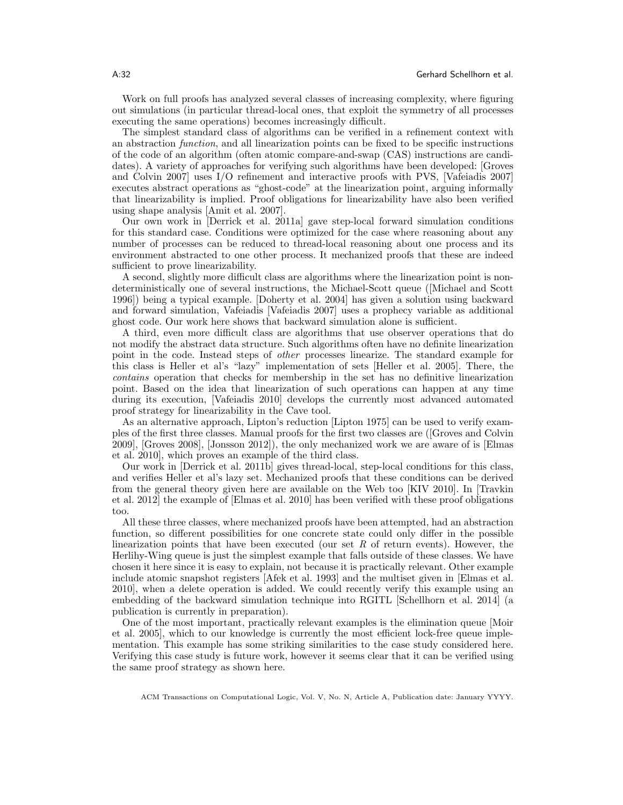Work on full proofs has analyzed several classes of increasing complexity, where figuring out simulations (in particular thread-local ones, that exploit the symmetry of all processes executing the same operations) becomes increasingly difficult.

The simplest standard class of algorithms can be verified in a refinement context with an abstraction function, and all linearization points can be fixed to be specific instructions of the code of an algorithm (often atomic compare-and-swap (CAS) instructions are candidates). A variety of approaches for verifying such algorithms have been developed: [Groves and Colvin 2007] uses I/O refinement and interactive proofs with PVS, [Vafeiadis 2007] executes abstract operations as "ghost-code" at the linearization point, arguing informally that linearizability is implied. Proof obligations for linearizability have also been verified using shape analysis [Amit et al. 2007].

Our own work in [Derrick et al. 2011a] gave step-local forward simulation conditions for this standard case. Conditions were optimized for the case where reasoning about any number of processes can be reduced to thread-local reasoning about one process and its environment abstracted to one other process. It mechanized proofs that these are indeed sufficient to prove linearizability.

A second, slightly more difficult class are algorithms where the linearization point is nondeterministically one of several instructions, the Michael-Scott queue ([Michael and Scott 1996]) being a typical example. [Doherty et al. 2004] has given a solution using backward and forward simulation, Vafeiadis [Vafeiadis 2007] uses a prophecy variable as additional ghost code. Our work here shows that backward simulation alone is sufficient.

A third, even more difficult class are algorithms that use observer operations that do not modify the abstract data structure. Such algorithms often have no definite linearization point in the code. Instead steps of other processes linearize. The standard example for this class is Heller et al's "lazy" implementation of sets [Heller et al. 2005]. There, the contains operation that checks for membership in the set has no definitive linearization point. Based on the idea that linearization of such operations can happen at any time during its execution, [Vafeiadis 2010] develops the currently most advanced automated proof strategy for linearizability in the Cave tool.

As an alternative approach, Lipton's reduction [Lipton 1975] can be used to verify examples of the first three classes. Manual proofs for the first two classes are ([Groves and Colvin 2009], [Groves 2008], [Jonsson 2012]), the only mechanized work we are aware of is [Elmas et al. 2010], which proves an example of the third class.

Our work in [Derrick et al. 2011b] gives thread-local, step-local conditions for this class, and verifies Heller et al's lazy set. Mechanized proofs that these conditions can be derived from the general theory given here are available on the Web too [KIV 2010]. In [Travkin et al. 2012] the example of [Elmas et al. 2010] has been verified with these proof obligations too.

All these three classes, where mechanized proofs have been attempted, had an abstraction function, so different possibilities for one concrete state could only differ in the possible linearization points that have been executed (our set R of return events). However, the Herlihy-Wing queue is just the simplest example that falls outside of these classes. We have chosen it here since it is easy to explain, not because it is practically relevant. Other example include atomic snapshot registers [Afek et al. 1993] and the multiset given in [Elmas et al. 2010], when a delete operation is added. We could recently verify this example using an embedding of the backward simulation technique into RGITL [Schellhorn et al. 2014] (a publication is currently in preparation).

One of the most important, practically relevant examples is the elimination queue [Moir et al. 2005], which to our knowledge is currently the most efficient lock-free queue implementation. This example has some striking similarities to the case study considered here. Verifying this case study is future work, however it seems clear that it can be verified using the same proof strategy as shown here.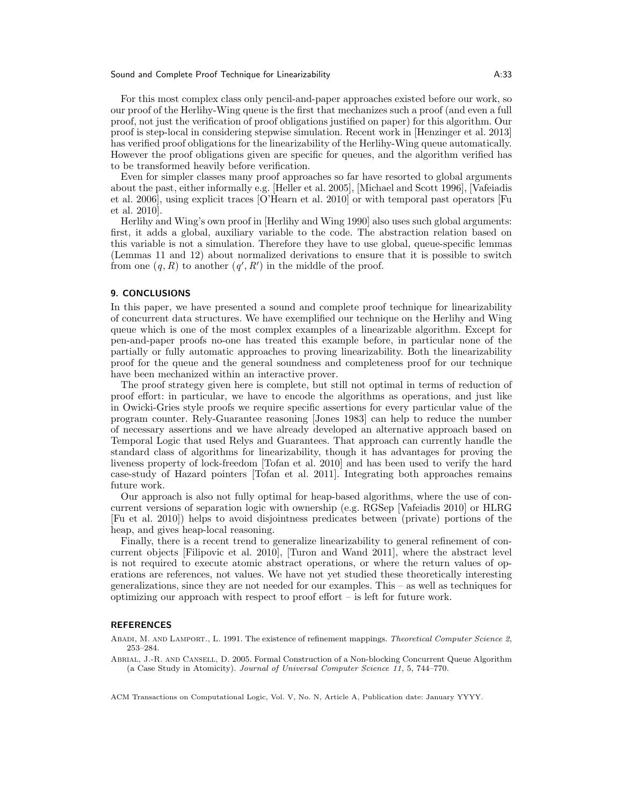For this most complex class only pencil-and-paper approaches existed before our work, so our proof of the Herlihy-Wing queue is the first that mechanizes such a proof (and even a full proof, not just the verification of proof obligations justified on paper) for this algorithm. Our proof is step-local in considering stepwise simulation. Recent work in [Henzinger et al. 2013] has verified proof obligations for the linearizability of the Herlihy-Wing queue automatically. However the proof obligations given are specific for queues, and the algorithm verified has to be transformed heavily before verification.

Even for simpler classes many proof approaches so far have resorted to global arguments about the past, either informally e.g. [Heller et al. 2005], [Michael and Scott 1996], [Vafeiadis et al. 2006], using explicit traces [O'Hearn et al. 2010] or with temporal past operators [Fu et al. 2010].

Herlihy and Wing's own proof in [Herlihy and Wing 1990] also uses such global arguments: first, it adds a global, auxiliary variable to the code. The abstraction relation based on this variable is not a simulation. Therefore they have to use global, queue-specific lemmas (Lemmas 11 and 12) about normalized derivations to ensure that it is possible to switch from one  $(q, R)$  to another  $(q', R')$  in the middle of the proof.

# 9. CONCLUSIONS

In this paper, we have presented a sound and complete proof technique for linearizability of concurrent data structures. We have exemplified our technique on the Herlihy and Wing queue which is one of the most complex examples of a linearizable algorithm. Except for pen-and-paper proofs no-one has treated this example before, in particular none of the partially or fully automatic approaches to proving linearizability. Both the linearizability proof for the queue and the general soundness and completeness proof for our technique have been mechanized within an interactive prover.

The proof strategy given here is complete, but still not optimal in terms of reduction of proof effort: in particular, we have to encode the algorithms as operations, and just like in Owicki-Gries style proofs we require specific assertions for every particular value of the program counter. Rely-Guarantee reasoning [Jones 1983] can help to reduce the number of necessary assertions and we have already developed an alternative approach based on Temporal Logic that used Relys and Guarantees. That approach can currently handle the standard class of algorithms for linearizability, though it has advantages for proving the liveness property of lock-freedom [Tofan et al. 2010] and has been used to verify the hard case-study of Hazard pointers [Tofan et al. 2011]. Integrating both approaches remains future work.

Our approach is also not fully optimal for heap-based algorithms, where the use of concurrent versions of separation logic with ownership (e.g. RGSep [Vafeiadis 2010] or HLRG [Fu et al. 2010]) helps to avoid disjointness predicates between (private) portions of the heap, and gives heap-local reasoning.

Finally, there is a recent trend to generalize linearizability to general refinement of concurrent objects [Filipovic et al. 2010], [Turon and Wand 2011], where the abstract level is not required to execute atomic abstract operations, or where the return values of operations are references, not values. We have not yet studied these theoretically interesting generalizations, since they are not needed for our examples. This – as well as techniques for optimizing our approach with respect to proof effort – is left for future work.

# **REFERENCES**

Abadi, M. and Lamport., L. 1991. The existence of refinement mappings. *Theoretical Computer Science 2*, 253–284.

Abrial, J.-R. and Cansell, D. 2005. Formal Construction of a Non-blocking Concurrent Queue Algorithm (a Case Study in Atomicity). *Journal of Universal Computer Science 11,* 5, 744–770.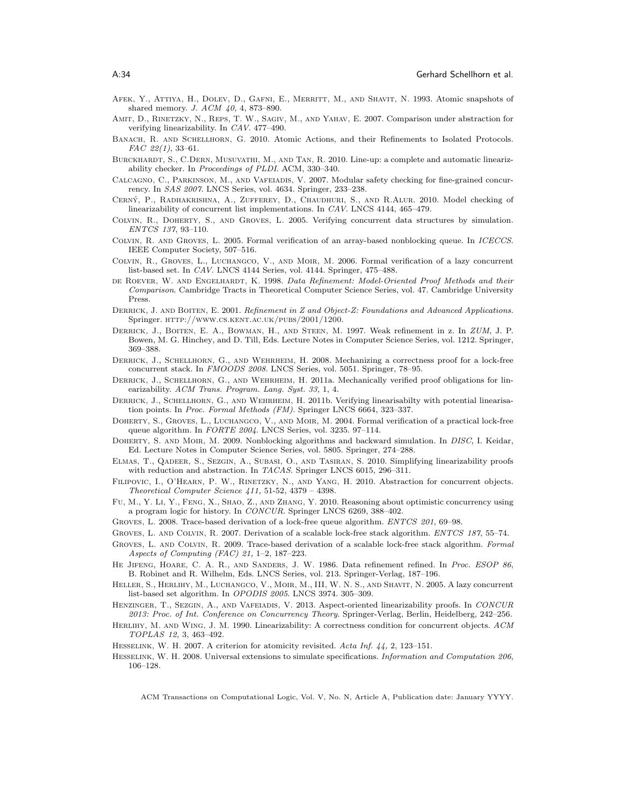- Afek, Y., Attiya, H., Dolev, D., Gafni, E., Merritt, M., and Shavit, N. 1993. Atomic snapshots of shared memory. *J. ACM 40,* 4, 873–890.
- AMIT, D., RINETZKY, N., REPS, T. W., SAGIV, M., AND YAHAV, E. 2007. Comparison under abstraction for verifying linearizability. In *CAV*. 477–490.
- BANACH, R. AND SCHELLHORN, G. 2010. Atomic Actions, and their Refinements to Isolated Protocols. *FAC 22(1)*, 33–61.
- BURCKHARDT, S., C.DERN, MUSUVATHI, M., AND TAN, R. 2010. Line-up: a complete and automatic linearizability checker. In *Proceedings of PLDI*. ACM, 330–340.
- Calcagno, C., Parkinson, M., and Vafeiadis, V. 2007. Modular safety checking for fine-grained concurrency. In *SAS 2007*. LNCS Series, vol. 4634. Springer, 233–238.
- CERNÝ, P., RADHAKRISHNA, A., ZUFFEREY, D., CHAUDHURI, S., AND R.ALUR. 2010. Model checking of linearizability of concurrent list implementations. In *CAV*. LNCS 4144, 465–479.
- Colvin, R., Doherty, S., and Groves, L. 2005. Verifying concurrent data structures by simulation. *ENTCS 137*, 93–110.
- Colvin, R. and Groves, L. 2005. Formal verification of an array-based nonblocking queue. In *ICECCS*. IEEE Computer Society, 507–516.
- Colvin, R., Groves, L., Luchangco, V., and Moir, M. 2006. Formal verification of a lazy concurrent list-based set. In *CAV*. LNCS 4144 Series, vol. 4144. Springer, 475–488.
- de Roever, W. and Engelhardt, K. 1998. *Data Refinement: Model-Oriented Proof Methods and their Comparison*. Cambridge Tracts in Theoretical Computer Science Series, vol. 47. Cambridge University Press.
- DERRICK, J. AND BOITEN, E. 2001. *Refinement in Z and Object-Z: Foundations and Advanced Applications*. Springer. http://www.cs.kent.ac.uk/pubs/2001/1200.
- Derrick, J., Boiten, E. A., Bowman, H., and Steen, M. 1997. Weak refinement in z. In *ZUM*, J. P. Bowen, M. G. Hinchey, and D. Till, Eds. Lecture Notes in Computer Science Series, vol. 1212. Springer, 369–388.
- DERRICK, J., SCHELLHORN, G., AND WEHRHEIM, H. 2008. Mechanizing a correctness proof for a lock-free concurrent stack. In *FMOODS 2008*. LNCS Series, vol. 5051. Springer, 78–95.
- DERRICK, J., SCHELLHORN, G., AND WEHRHEIM, H. 2011a. Mechanically verified proof obligations for linearizability. *ACM Trans. Program. Lang. Syst. 33,* 1, 4.
- DERRICK, J., SCHELLHORN, G., AND WEHRHEIM, H. 2011b. Verifying linearisabilty with potential linearisation points. In *Proc. Formal Methods (FM)*. Springer LNCS 6664, 323–337.
- Doherty, S., Groves, L., Luchangco, V., and Moir, M. 2004. Formal verification of a practical lock-free queue algorithm. In *FORTE 2004*. LNCS Series, vol. 3235. 97–114.
- Doherty, S. and Moir, M. 2009. Nonblocking algorithms and backward simulation. In *DISC*, I. Keidar, Ed. Lecture Notes in Computer Science Series, vol. 5805. Springer, 274–288.
- Elmas, T., Qadeer, S., Sezgin, A., Subasi, O., and Tasiran, S. 2010. Simplifying linearizability proofs with reduction and abstraction. In *TACAS*. Springer LNCS 6015, 296–311.
- FILIPOVIC, I., O'HEARN, P. W., RINETZKY, N., AND YANG, H. 2010. Abstraction for concurrent objects. *Theoretical Computer Science 411,* 51-52, 4379 – 4398.
- Fu, M., Y. Li, Y., Feng, X., Shao, Z., and Zhang, Y. 2010. Reasoning about optimistic concurrency using a program logic for history. In *CONCUR*. Springer LNCS 6269, 388–402.
- Groves, L. 2008. Trace-based derivation of a lock-free queue algorithm. *ENTCS 201*, 69–98.
- Groves, L. and Colvin, R. 2007. Derivation of a scalable lock-free stack algorithm. *ENTCS 187*, 55–74.
- Groves, L. and Colvin, R. 2009. Trace-based derivation of a scalable lock-free stack algorithm. *Formal Aspects of Computing (FAC) 21,* 1–2, 187–223.
- He Jifeng, Hoare, C. A. R., and Sanders, J. W. 1986. Data refinement refined. In *Proc. ESOP 86*, B. Robinet and R. Wilhelm, Eds. LNCS Series, vol. 213. Springer-Verlag, 187–196.
- Heller, S., Herlihy, M., Luchangco, V., Moir, M., III, W. N. S., and Shavit, N. 2005. A lazy concurrent list-based set algorithm. In *OPODIS 2005*. LNCS 3974. 305–309.
- Henzinger, T., Sezgin, A., and Vafeiadis, V. 2013. Aspect-oriented linearizability proofs. In *CONCUR 2013: Proc. of Int. Conference on Concurrency Theory*. Springer-Verlag, Berlin, Heidelberg, 242–256.
- Herlihy, M. and Wing, J. M. 1990. Linearizability: A correctness condition for concurrent objects. *ACM TOPLAS 12,* 3, 463–492.
- Hesselink, W. H. 2007. A criterion for atomicity revisited. *Acta Inf. 44,* 2, 123–151.
- Hesselink, W. H. 2008. Universal extensions to simulate specifications. *Information and Computation 206*, 106–128.